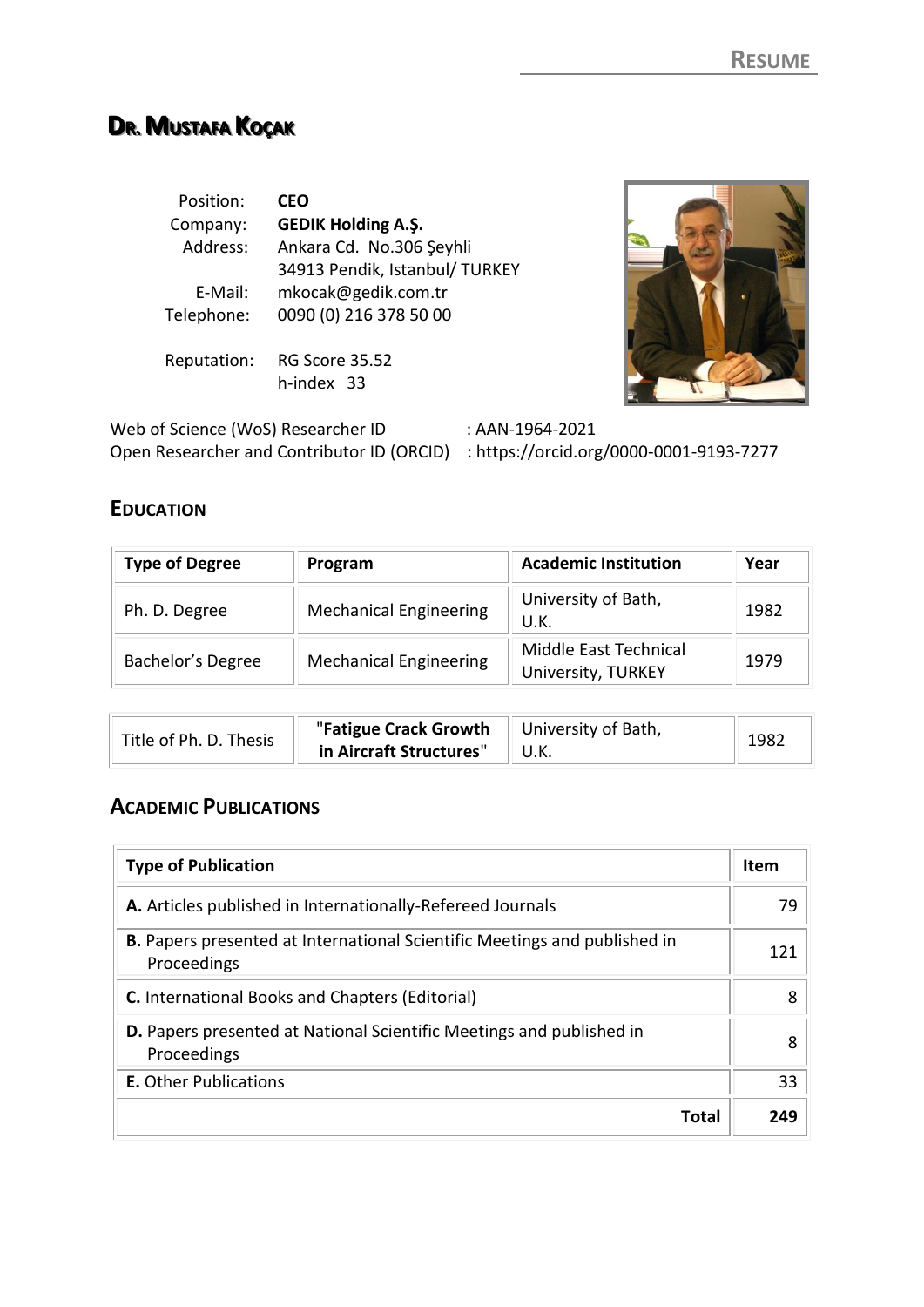# **DRR. .. MUUSSTTAAFFAA KOOÇÇAAKK**

| Position:<br>Company:<br>Address: | <b>CEO</b><br><b>GEDIK Holding A.Ş.</b><br>Ankara Cd. No.306 Şeyhli<br>34913 Pendik, Istanbul/ TURKEY |  |
|-----------------------------------|-------------------------------------------------------------------------------------------------------|--|
| E-Mail:                           | mkocak@gedik.com.tr                                                                                   |  |
| Telephone:                        | 0090 (0) 216 378 50 00                                                                                |  |
| Reputation:                       | RG Score 35.52<br>h-index 33                                                                          |  |

Web of Science (WoS) Researcher ID : AAN-1964-2021 Open Researcher and Contributor ID (ORCID) : https://orcid.org/0000-0001-9193-7277

# **EDUCATION**

| <b>Type of Degree</b> | Program                       | <b>Academic Institution</b>                 | Year |
|-----------------------|-------------------------------|---------------------------------------------|------|
| Ph. D. Degree         | <b>Mechanical Engineering</b> | University of Bath,<br>U.K.                 | 1982 |
| Bachelor's Degree     | <b>Mechanical Engineering</b> | Middle East Technical<br>University, TURKEY | 1979 |

| Title of Ph. D. Thesis | "Fatigue Crack Growth   University of Bath, |  |
|------------------------|---------------------------------------------|--|
|                        | in Aircraft Structures"                     |  |

# **ACADEMIC PUBLICATIONS**

| <b>Type of Publication</b>                                                                      | <b>Item</b> |
|-------------------------------------------------------------------------------------------------|-------------|
| A. Articles published in Internationally-Refereed Journals                                      | 79          |
| <b>B.</b> Papers presented at International Scientific Meetings and published in<br>Proceedings | 121         |
| <b>C.</b> International Books and Chapters (Editorial)                                          | 8           |
| <b>D.</b> Papers presented at National Scientific Meetings and published in<br>Proceedings      | 8           |
| <b>E.</b> Other Publications                                                                    | 33          |
| Total                                                                                           | 249         |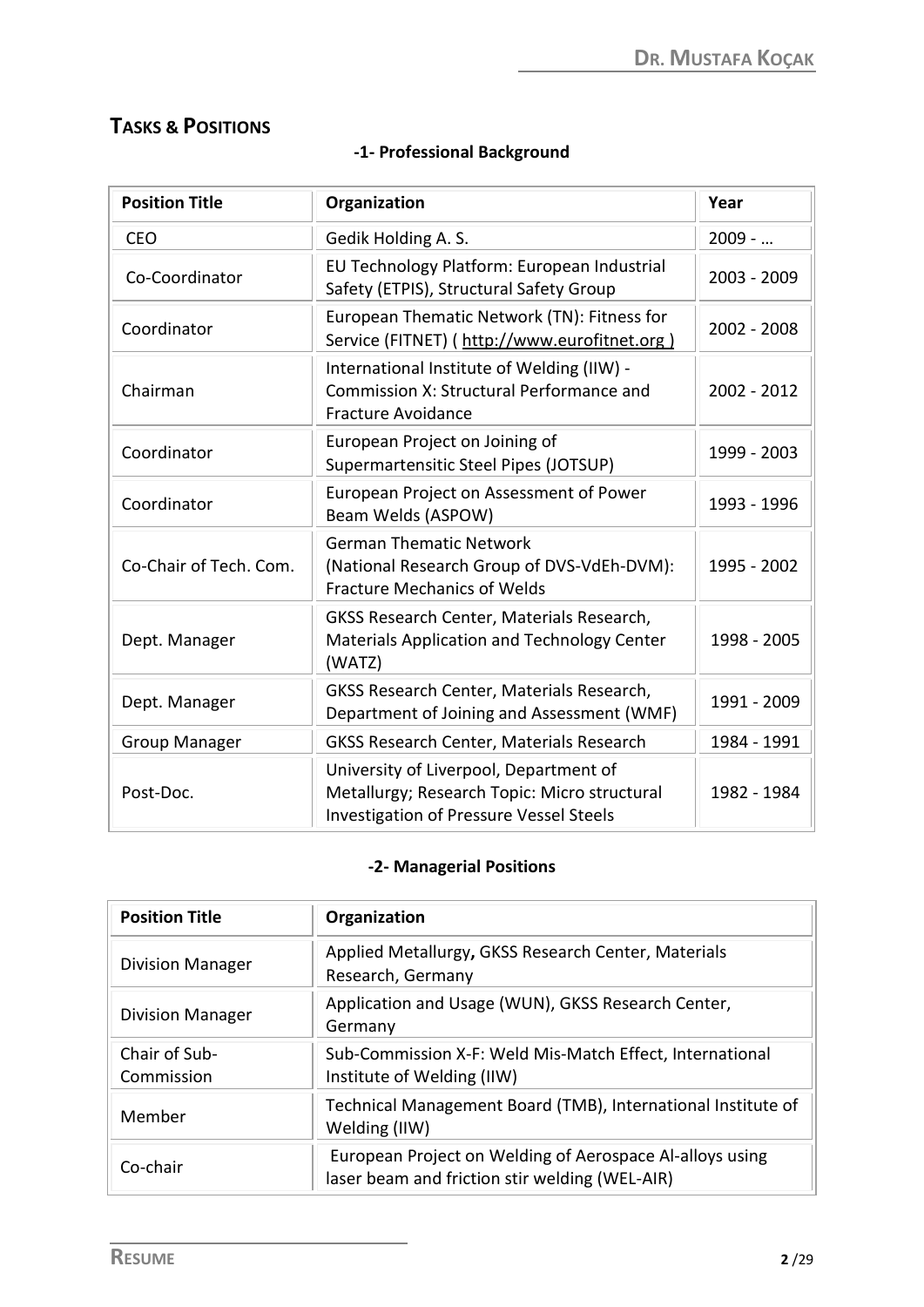# **TASKS & POSITIONS**

| <b>Position Title</b>  | Organization                                                                                                                             | Year        |
|------------------------|------------------------------------------------------------------------------------------------------------------------------------------|-------------|
| <b>CEO</b>             | Gedik Holding A. S.                                                                                                                      | $2009 - $   |
| Co-Coordinator         | EU Technology Platform: European Industrial<br>Safety (ETPIS), Structural Safety Group                                                   | 2003 - 2009 |
| Coordinator            | European Thematic Network (TN): Fitness for<br>Service (FITNET) (http://www.eurofitnet.org)                                              | 2002 - 2008 |
| Chairman               | International Institute of Welding (IIW) -<br>Commission X: Structural Performance and<br><b>Fracture Avoidance</b>                      | 2002 - 2012 |
| Coordinator            | European Project on Joining of<br>Supermartensitic Steel Pipes (JOTSUP)                                                                  | 1999 - 2003 |
| Coordinator            | European Project on Assessment of Power<br>Beam Welds (ASPOW)                                                                            | 1993 - 1996 |
| Co-Chair of Tech. Com. | <b>German Thematic Network</b><br>(National Research Group of DVS-VdEh-DVM):<br><b>Fracture Mechanics of Welds</b>                       | 1995 - 2002 |
| Dept. Manager          | GKSS Research Center, Materials Research,<br>Materials Application and Technology Center<br>(WATZ)                                       | 1998 - 2005 |
| Dept. Manager          | GKSS Research Center, Materials Research,<br>Department of Joining and Assessment (WMF)                                                  | 1991 - 2009 |
| <b>Group Manager</b>   | <b>GKSS Research Center, Materials Research</b>                                                                                          | 1984 - 1991 |
| Post-Doc.              | University of Liverpool, Department of<br>Metallurgy; Research Topic: Micro structural<br><b>Investigation of Pressure Vessel Steels</b> | 1982 - 1984 |

# **-1- Professional Background**

### **-2- Managerial Positions**

| <b>Position Title</b>       | Organization                                                                                               |
|-----------------------------|------------------------------------------------------------------------------------------------------------|
| <b>Division Manager</b>     | Applied Metallurgy, GKSS Research Center, Materials<br>Research, Germany                                   |
| <b>Division Manager</b>     | Application and Usage (WUN), GKSS Research Center,<br>Germany                                              |
| Chair of Sub-<br>Commission | Sub-Commission X-F: Weld Mis-Match Effect, International<br>Institute of Welding (IIW)                     |
| Member                      | Technical Management Board (TMB), International Institute of<br>Welding (IIW)                              |
| Co-chair                    | European Project on Welding of Aerospace Al-alloys using<br>laser beam and friction stir welding (WEL-AIR) |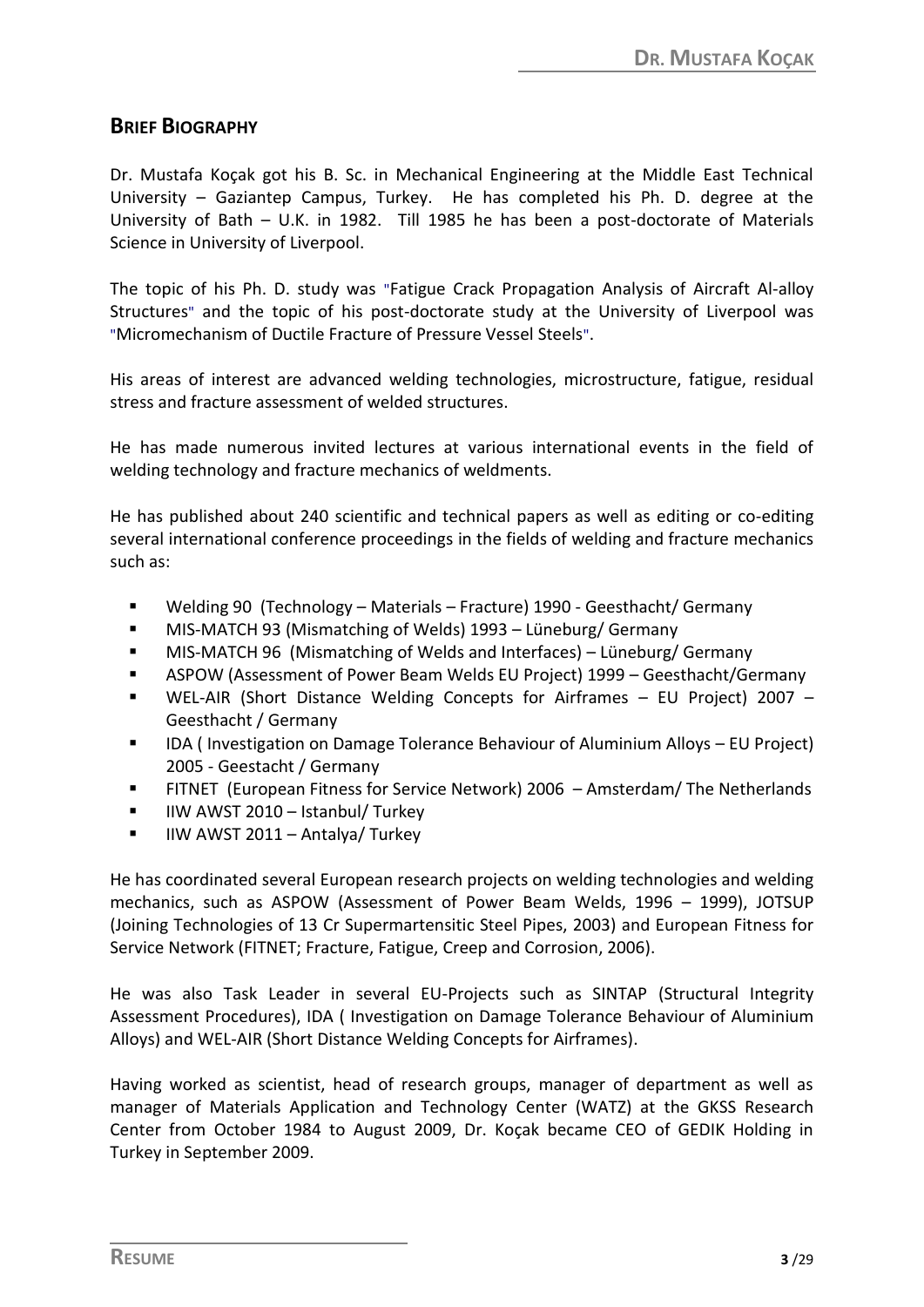## **BRIEF BIOGRAPHY**

Dr. Mustafa Koçak got his B. Sc. in Mechanical Engineering at the Middle East Technical University – Gaziantep Campus, Turkey. He has completed his Ph. D. degree at the University of Bath – U.K. in 1982. Till 1985 he has been a post-doctorate of Materials Science in University of Liverpool.

The topic of his Ph. D. study was "Fatigue Crack Propagation Analysis of Aircraft Al-alloy Structures" and the topic of his post-doctorate study at the University of Liverpool was "Micromechanism of Ductile Fracture of Pressure Vessel Steels".

His areas of interest are advanced welding technologies, microstructure, fatigue, residual stress and fracture assessment of welded structures.

He has made numerous invited lectures at various international events in the field of welding technology and fracture mechanics of weldments.

He has published about 240 scientific and technical papers as well as editing or co-editing several international conference proceedings in the fields of welding and fracture mechanics such as:

- Welding 90 (Technology Materials Fracture) 1990 Geesthacht/ Germany
- **MIS-MATCH 93 (Mismatching of Welds) 1993 Lüneburg/ Germany**
- MIS-MATCH 96 (Mismatching of Welds and Interfaces) Lüneburg/ Germany
- ASPOW (Assessment of Power Beam Welds EU Project) 1999 Geesthacht/Germany
- WEL-AIR (Short Distance Welding Concepts for Airframes EU Project) 2007 Geesthacht / Germany
- IDA ( Investigation on Damage Tolerance Behaviour of Aluminium Alloys EU Project) 2005 - Geestacht / Germany
- FITNET (European Fitness for Service Network) 2006 Amsterdam/ The Netherlands
- $\blacksquare$  IIW AWST 2010 Istanbul/ Turkey
- IIW AWST 2011 Antalya/ Turkey

He has coordinated several European research projects on welding technologies and welding mechanics, such as ASPOW (Assessment of Power Beam Welds, 1996 – 1999), JOTSUP (Joining Technologies of 13 Cr Supermartensitic Steel Pipes, 2003) and European Fitness for Service Network (FITNET; Fracture, Fatigue, Creep and Corrosion, 2006).

He was also Task Leader in several EU-Projects such as SINTAP (Structural Integrity Assessment Procedures), IDA ( Investigation on Damage Tolerance Behaviour of Aluminium Alloys) and WEL-AIR (Short Distance Welding Concepts for Airframes).

Having worked as scientist, head of research groups, manager of department as well as manager of Materials Application and Technology Center (WATZ) at the GKSS Research Center from October 1984 to August 2009, Dr. Koçak became CEO of GEDIK Holding in Turkey in September 2009.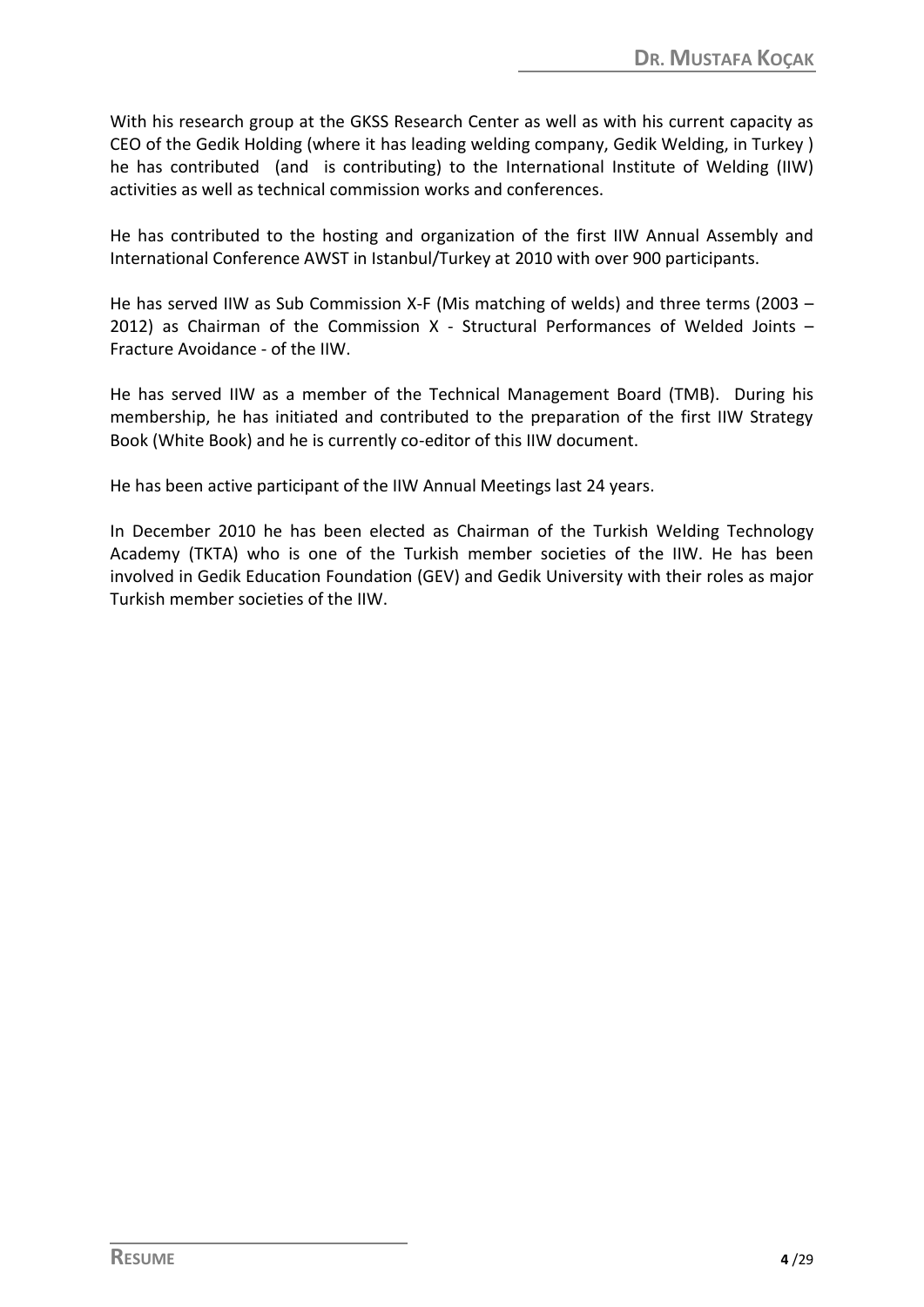With his research group at the GKSS Research Center as well as with his current capacity as CEO of the Gedik Holding (where it has leading welding company, Gedik Welding, in Turkey ) he has contributed (and is contributing) to the International Institute of Welding (IIW) activities as well as technical commission works and conferences.

He has contributed to the hosting and organization of the first IIW Annual Assembly and International Conference AWST in Istanbul/Turkey at 2010 with over 900 participants.

He has served IIW as Sub Commission X-F (Mis matching of welds) and three terms (2003 – 2012) as Chairman of the Commission X - Structural Performances of Welded Joints – Fracture Avoidance - of the IIW.

He has served IIW as a member of the Technical Management Board (TMB). During his membership, he has initiated and contributed to the preparation of the first IIW Strategy Book (White Book) and he is currently co-editor of this IIW document.

He has been active participant of the IIW Annual Meetings last 24 years.

In December 2010 he has been elected as Chairman of the Turkish Welding Technology Academy (TKTA) who is one of the Turkish member societies of the IIW. He has been involved in Gedik Education Foundation (GEV) and Gedik University with their roles as major Turkish member societies of the IIW.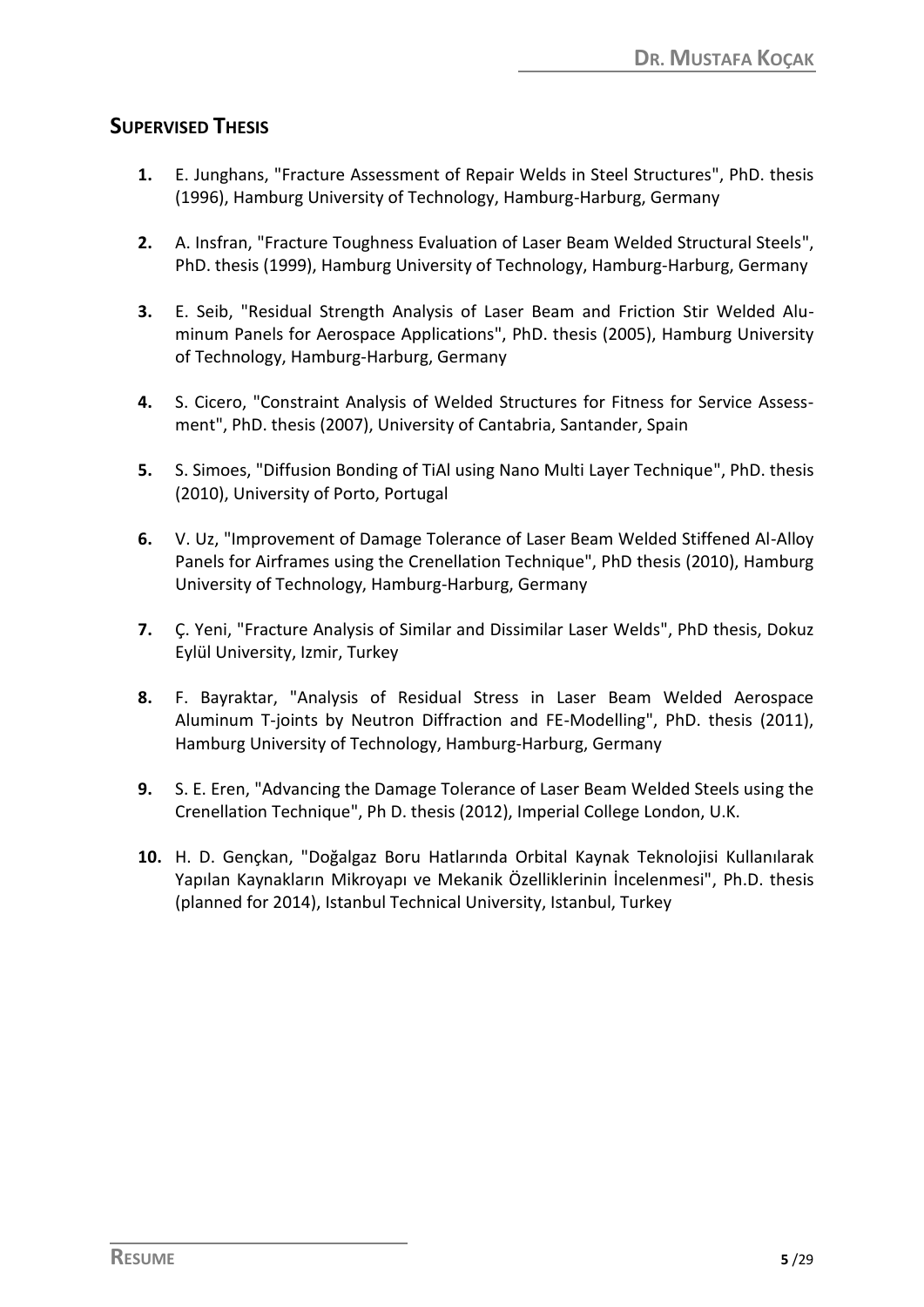# **SUPERVISED THESIS**

- **1.** E. Junghans, "Fracture Assessment of Repair Welds in Steel Structures", PhD. thesis (1996), Hamburg University of Technology, Hamburg-Harburg, Germany
- **2.** A. Insfran, "Fracture Toughness Evaluation of Laser Beam Welded Structural Steels", PhD. thesis (1999), Hamburg University of Technology, Hamburg-Harburg, Germany
- **3.** E. Seib, "Residual Strength Analysis of Laser Beam and Friction Stir Welded Aluminum Panels for Aerospace Applications", PhD. thesis (2005), Hamburg University of Technology, Hamburg-Harburg, Germany
- **4.** S. Cicero, "Constraint Analysis of Welded Structures for Fitness for Service Assessment", PhD. thesis (2007), University of Cantabria, Santander, Spain
- **5.** S. Simoes, "Diffusion Bonding of TiAl using Nano Multi Layer Technique", PhD. thesis (2010), University of Porto, Portugal
- **6.** V. Uz, "Improvement of Damage Tolerance of Laser Beam Welded Stiffened Al-Alloy Panels for Airframes using the Crenellation Technique", PhD thesis (2010), Hamburg University of Technology, Hamburg-Harburg, Germany
- **7.** Ç. Yeni, "Fracture Analysis of Similar and Dissimilar Laser Welds", PhD thesis, Dokuz Eylül University, Izmir, Turkey
- **8.** F. Bayraktar, "Analysis of Residual Stress in Laser Beam Welded Aerospace Aluminum T-joints by Neutron Diffraction and FE-Modelling", PhD. thesis (2011), Hamburg University of Technology, Hamburg-Harburg, Germany
- **9.** S. E. Eren, "Advancing the Damage Tolerance of Laser Beam Welded Steels using the Crenellation Technique", Ph D. thesis (2012), Imperial College London, U.K.
- **10.** H. D. Gençkan, "Doğalgaz Boru Hatlarında Orbital Kaynak Teknolojisi Kullanılarak Yapılan Kaynakların Mikroyapı ve Mekanik Özelliklerinin İncelenmesi", Ph.D. thesis (planned for 2014), Istanbul Technical University, Istanbul, Turkey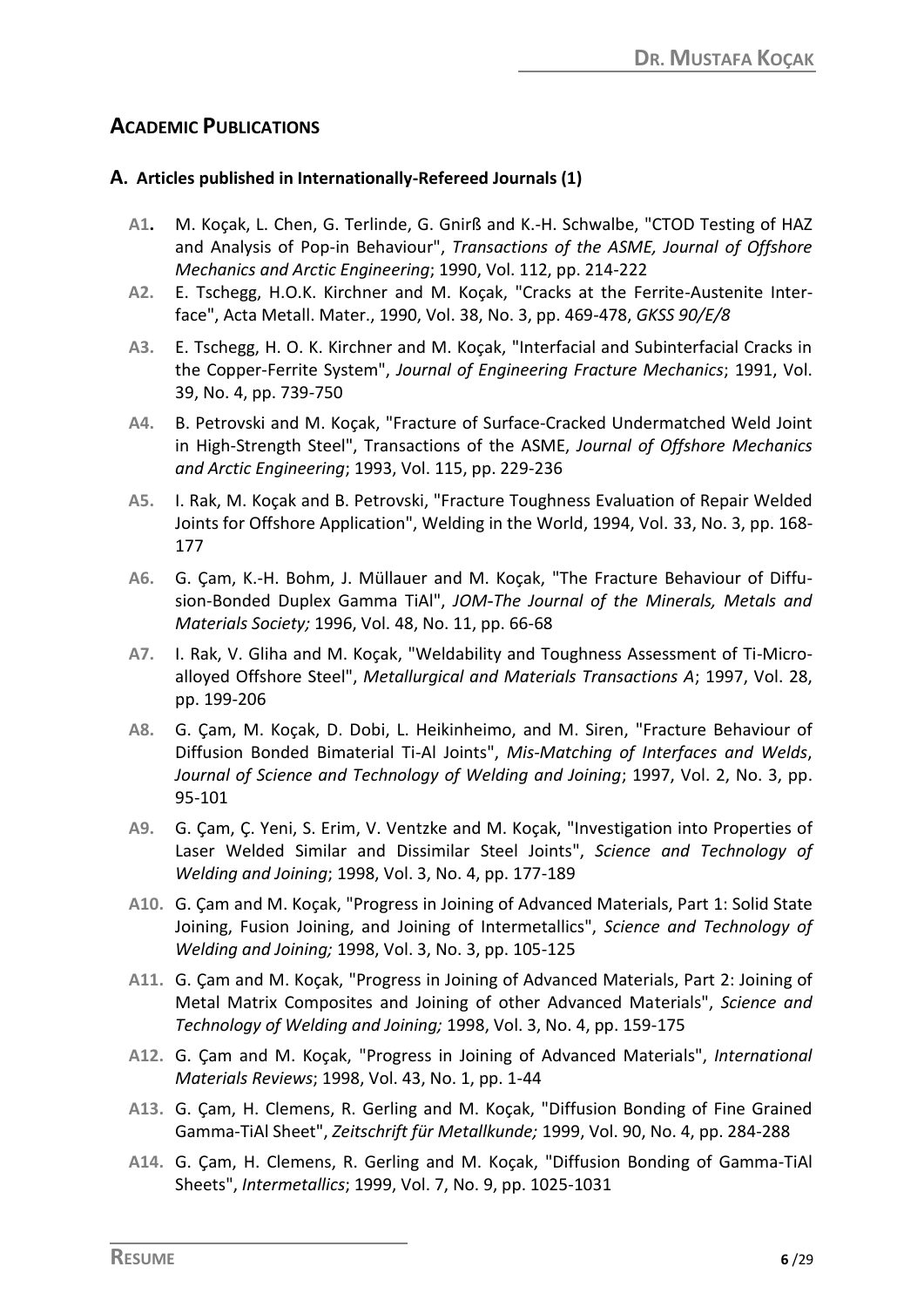# **ACADEMIC PUBLICATIONS**

#### **A. Articles published in Internationally-Refereed Journals (1)**

- **A1.** M. Koçak, L. Chen, G. Terlinde, G. Gnirß and K.-H. Schwalbe, "CTOD Testing of HAZ and Analysis of Pop-in Behaviour", *Transactions of the ASME, Journal of Offshore Mechanics and Arctic Engineering*; 1990, Vol. 112, pp. 214-222
- **A2.** E. Tschegg, H.O.K. Kirchner and M. Koçak, "Cracks at the Ferrite-Austenite Interface", Acta Metall. Mater., 1990, Vol. 38, No. 3, pp. 469-478, *GKSS 90/E/8*
- **A3.** E. Tschegg, H. O. K. Kirchner and M. Koçak, "Interfacial and Subinterfacial Cracks in the Copper-Ferrite System", *Journal of Engineering Fracture Mechanics*; 1991, Vol. 39, No. 4, pp. 739-750
- **A4.** B. Petrovski and M. Koçak, "Fracture of Surface-Cracked Undermatched Weld Joint in High-Strength Steel", Transactions of the ASME, *Journal of Offshore Mechanics and Arctic Engineering*; 1993, Vol. 115, pp. 229-236
- **A5.** I. Rak, M. Koçak and B. Petrovski, "Fracture Toughness Evaluation of Repair Welded Joints for Offshore Application", Welding in the World, 1994, Vol. 33, No. 3, pp. 168- 177
- **A6.** G. Çam, K.-H. Bohm, J. Müllauer and M. Koçak, "The Fracture Behaviour of Diffusion-Bonded Duplex Gamma TiAl", *JOM*-*The Journal of the Minerals, Metals and Materials Society;* 1996, Vol. 48, No. 11, pp. 66-68
- **A7.** I. Rak, V. Gliha and M. Koçak, "Weldability and Toughness Assessment of Ti-Microalloyed Offshore Steel", *Metallurgical and Materials Transactions A*; 1997, Vol. 28, pp. 199-206
- **A8.** G. Çam, M. Koçak, D. Dobi, L. Heikinheimo, and M. Siren, "Fracture Behaviour of Diffusion Bonded Bimaterial Ti-Al Joints", *Mis-Matching of Interfaces and Welds*, *Journal of Science and Technology of Welding and Joining*; 1997, Vol. 2, No. 3, pp. 95-101
- **A9.** G. Çam, Ç. Yeni, S. Erim, V. Ventzke and M. Koçak, "Investigation into Properties of Laser Welded Similar and Dissimilar Steel Joints", *Science and Technology of Welding and Joining*; 1998, Vol. 3, No. 4, pp. 177-189
- **A10.** G. Çam and M. Koçak, "Progress in Joining of Advanced Materials, Part 1: Solid State Joining, Fusion Joining, and Joining of Intermetallics", *Science and Technology of Welding and Joining;* 1998, Vol. 3, No. 3, pp. 105-125
- **A11.** G. Çam and M. Koçak, "Progress in Joining of Advanced Materials, Part 2: Joining of Metal Matrix Composites and Joining of other Advanced Materials", *Science and Technology of Welding and Joining;* 1998, Vol. 3, No. 4, pp. 159-175
- **A12.** G. Çam and M. Koçak, "Progress in Joining of Advanced Materials", *International Materials Reviews*; 1998, Vol. 43, No. 1, pp. 1-44
- **A13.** G. Çam, H. Clemens, R. Gerling and M. Koçak, "Diffusion Bonding of Fine Grained Gamma-TiAl Sheet", *Zeitschrift für Metallkunde;* 1999, Vol. 90, No. 4, pp. 284-288
- **A14.** G. Çam, H. Clemens, R. Gerling and M. Koçak, "Diffusion Bonding of Gamma-TiAl Sheets", *Intermetallics*; 1999, Vol. 7, No. 9, pp. 1025-1031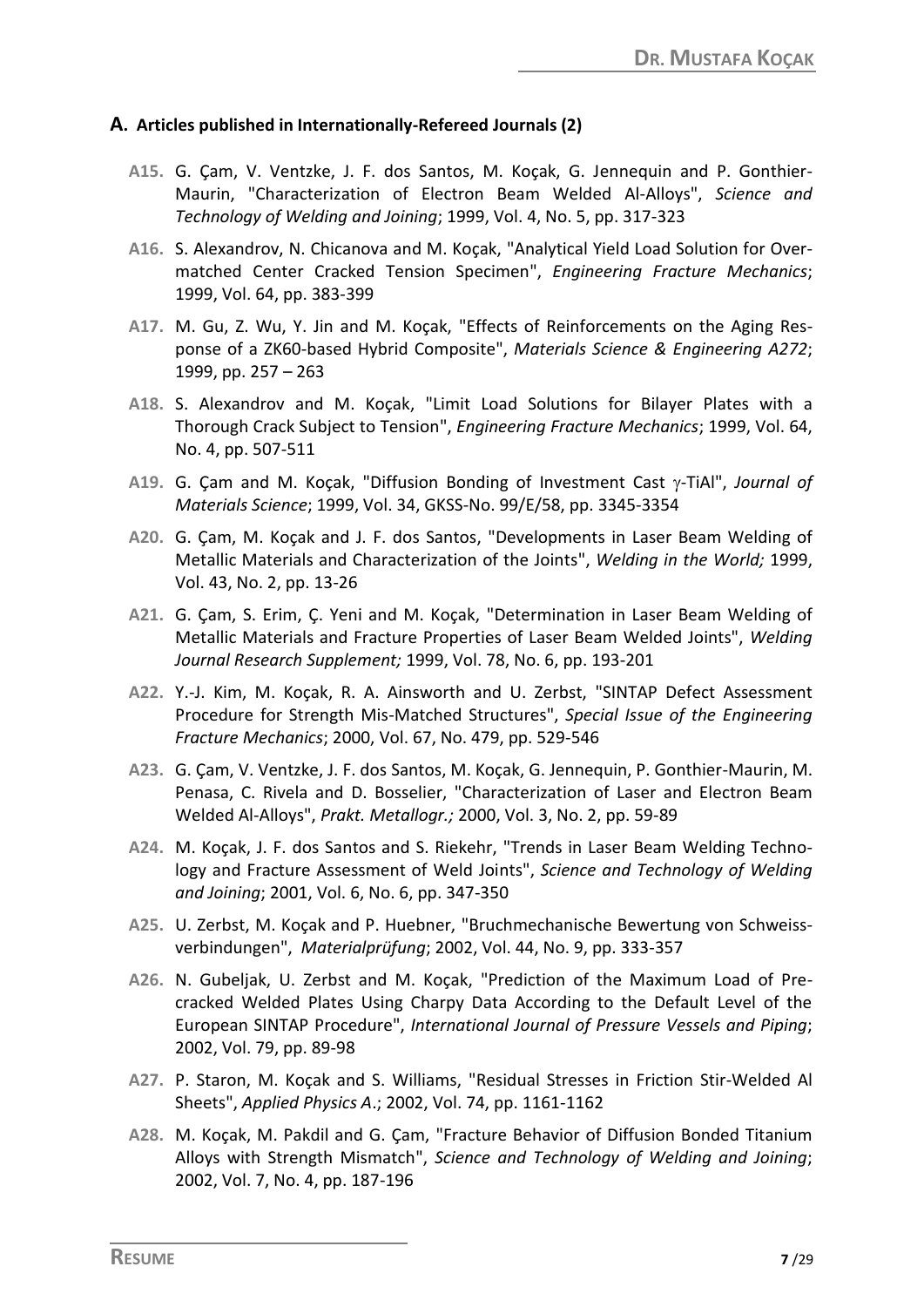#### **A. Articles published in Internationally-Refereed Journals (2)**

- **A15.** G. Çam, V. Ventzke, J. F. dos Santos, M. Koçak, G. Jennequin and P. Gonthier-Maurin, "Characterization of Electron Beam Welded Al-Alloys", *Science and Technology of Welding and Joining*; 1999, Vol. 4, No. 5, pp. 317-323
- **A16.** S. Alexandrov, N. Chicanova and M. Koçak, "Analytical Yield Load Solution for Overmatched Center Cracked Tension Specimen", *Engineering Fracture Mechanics*; 1999, Vol. 64, pp. 383-399
- **A17.** M. Gu, Z. Wu, Y. Jin and M. Koçak, "Effects of Reinforcements on the Aging Response of a ZK60-based Hybrid Composite", *Materials Science & Engineering A272*; 1999, pp. 257 – 263
- **A18.** S. Alexandrov and M. Koçak, "Limit Load Solutions for Bilayer Plates with a Thorough Crack Subject to Tension", *Engineering Fracture Mechanics*; 1999, Vol. 64, No. 4, pp. 507-511
- A19. G. Cam and M. Koçak, "Diffusion Bonding of Investment Cast y-TiAl", *Journal of Materials Science*; 1999, Vol. 34, GKSS-No. 99/E/58, pp. 3345-3354
- **A20.** G. Çam, M. Koçak and J. F. dos Santos, "Developments in Laser Beam Welding of Metallic Materials and Characterization of the Joints", *Welding in the World;* 1999, Vol. 43, No. 2, pp. 13-26
- **A21.** G. Çam, S. Erim, Ç. Yeni and M. Koçak, "Determination in Laser Beam Welding of Metallic Materials and Fracture Properties of Laser Beam Welded Joints", *Welding Journal Research Supplement;* 1999, Vol. 78, No. 6, pp. 193-201
- **A22.** Y.-J. Kim, M. Koçak, R. A. Ainsworth and U. Zerbst, "SINTAP Defect Assessment Procedure for Strength Mis-Matched Structures", *Special Issue of the Engineering Fracture Mechanics*; 2000, Vol. 67, No. 479, pp. 529-546
- **A23.** G. Çam, V. Ventzke, J. F. dos Santos, M. Koçak, G. Jennequin, P. Gonthier-Maurin, M. Penasa, C. Rivela and D. Bosselier, "Characterization of Laser and Electron Beam Welded Al-Alloys", *Prakt. Metallogr.;* 2000, Vol. 3, No. 2, pp. 59-89
- **A24.** M. Koçak, J. F. dos Santos and S. Riekehr, "Trends in Laser Beam Welding Technology and Fracture Assessment of Weld Joints", *Science and Technology of Welding and Joining*; 2001, Vol. 6, No. 6, pp. 347-350
- **A25.** U. Zerbst, M. Koçak and P. Huebner, "Bruchmechanische Bewertung von Schweissverbindungen", *Materialprüfung*; 2002, Vol. 44, No. 9, pp. 333-357
- **A26.** N. Gubeljak, U. Zerbst and M. Koçak, "Prediction of the Maximum Load of Precracked Welded Plates Using Charpy Data According to the Default Level of the European SINTAP Procedure", *International Journal of Pressure Vessels and Piping*; 2002, Vol. 79, pp. 89-98
- **A27.** P. Staron, M. Koçak and S. Williams, "Residual Stresses in Friction Stir-Welded Al Sheets", *Applied Physics A*.; 2002, Vol. 74, pp. 1161-1162
- **A28.** M. Koçak, M. Pakdil and G. Çam, "Fracture Behavior of Diffusion Bonded Titanium Alloys with Strength Mismatch", *Science and Technology of Welding and Joining*; 2002, Vol. 7, No. 4, pp. 187-196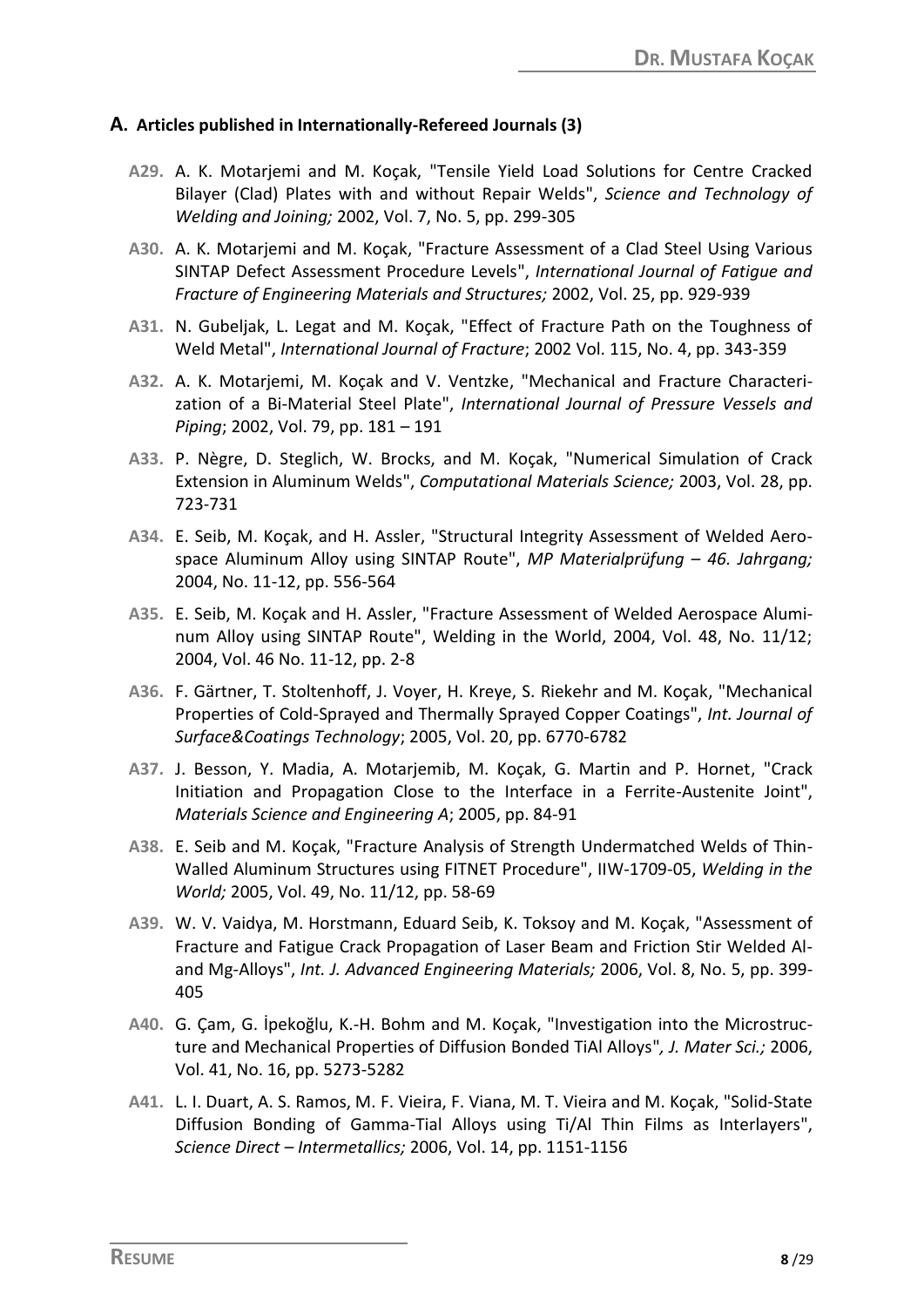#### **A. Articles published in Internationally-Refereed Journals (3)**

- **A29.** A. K. Motarjemi and M. Koçak, "Tensile Yield Load Solutions for Centre Cracked Bilayer (Clad) Plates with and without Repair Welds", *Science and Technology of Welding and Joining;* 2002, Vol. 7, No. 5, pp. 299-305
- **A30.** A. K. Motarjemi and M. Koçak, "Fracture Assessment of a Clad Steel Using Various SINTAP Defect Assessment Procedure Levels", *International Journal of Fatigue and Fracture of Engineering Materials and Structures;* 2002, Vol. 25, pp. 929-939
- **A31.** N. Gubeljak, L. Legat and M. Koçak, "Effect of Fracture Path on the Toughness of Weld Metal", *International Journal of Fracture*; 2002 Vol. 115, No. 4, pp. 343-359
- **A32.** A. K. Motarjemi, M. Koçak and V. Ventzke, "Mechanical and Fracture Characterization of a Bi-Material Steel Plate", *International Journal of Pressure Vessels and Piping*; 2002, Vol. 79, pp. 181 – 191
- **A33.** P. Nègre, D. Steglich, W. Brocks, and M. Koçak, "Numerical Simulation of Crack Extension in Aluminum Welds", *Computational Materials Science;* 2003, Vol. 28, pp. 723-731
- **A34.** E. Seib, M. Koçak, and H. Assler, "Structural Integrity Assessment of Welded Aerospace Aluminum Alloy using SINTAP Route", *MP Materialprüfung – 46. Jahrgang;* 2004, No. 11-12, pp. 556-564
- **A35.** E. Seib, M. Koçak and H. Assler, "Fracture Assessment of Welded Aerospace Aluminum Alloy using SINTAP Route", Welding in the World, 2004, Vol. 48, No. 11/12; 2004, Vol. 46 No. 11-12, pp. 2-8
- **A36.** F. Gärtner, T. Stoltenhoff, J. Voyer, H. Kreye, S. Riekehr and M. Koçak, "Mechanical Properties of Cold-Sprayed and Thermally Sprayed Copper Coatings", *Int. Journal of Surface&Coatings Technology*; 2005, Vol. 20, pp. 6770-6782
- **A37.** J. Besson, Y. Madia, A. Motarjemib, M. Koçak, G. Martin and P. Hornet, "Crack Initiation and Propagation Close to the Interface in a Ferrite-Austenite Joint", *Materials Science and Engineering A*; 2005, pp. 84-91
- **A38.** E. Seib and M. Koçak, "Fracture Analysis of Strength Undermatched Welds of Thin-Walled Aluminum Structures using FITNET Procedure", IIW-1709-05, *Welding in the World;* 2005, Vol. 49, No. 11/12, pp. 58-69
- **A39.** W. V. Vaidya, M. Horstmann, Eduard Seib, K. Toksoy and M. Koçak, "Assessment of Fracture and Fatigue Crack Propagation of Laser Beam and Friction Stir Welded Aland Mg-Alloys", *Int. J. Advanced Engineering Materials;* 2006, Vol. 8, No. 5, pp. 399- 405
- **A40.** G. Çam, G. İpekoğlu, K.-H. Bohm and M. Koçak, "Investigation into the Microstructure and Mechanical Properties of Diffusion Bonded TiAl Alloys"*, J. Mater Sci.;* 2006, Vol. 41, No. 16, pp. 5273-5282
- **A41.** L. I. Duart, A. S. Ramos, M. F. Vieira, F. Viana, M. T. Vieira and M. Koçak, "Solid-State Diffusion Bonding of Gamma-Tial Alloys using Ti/Al Thin Films as Interlayers", *Science Direct – Intermetallics;* 2006, Vol. 14, pp. 1151-1156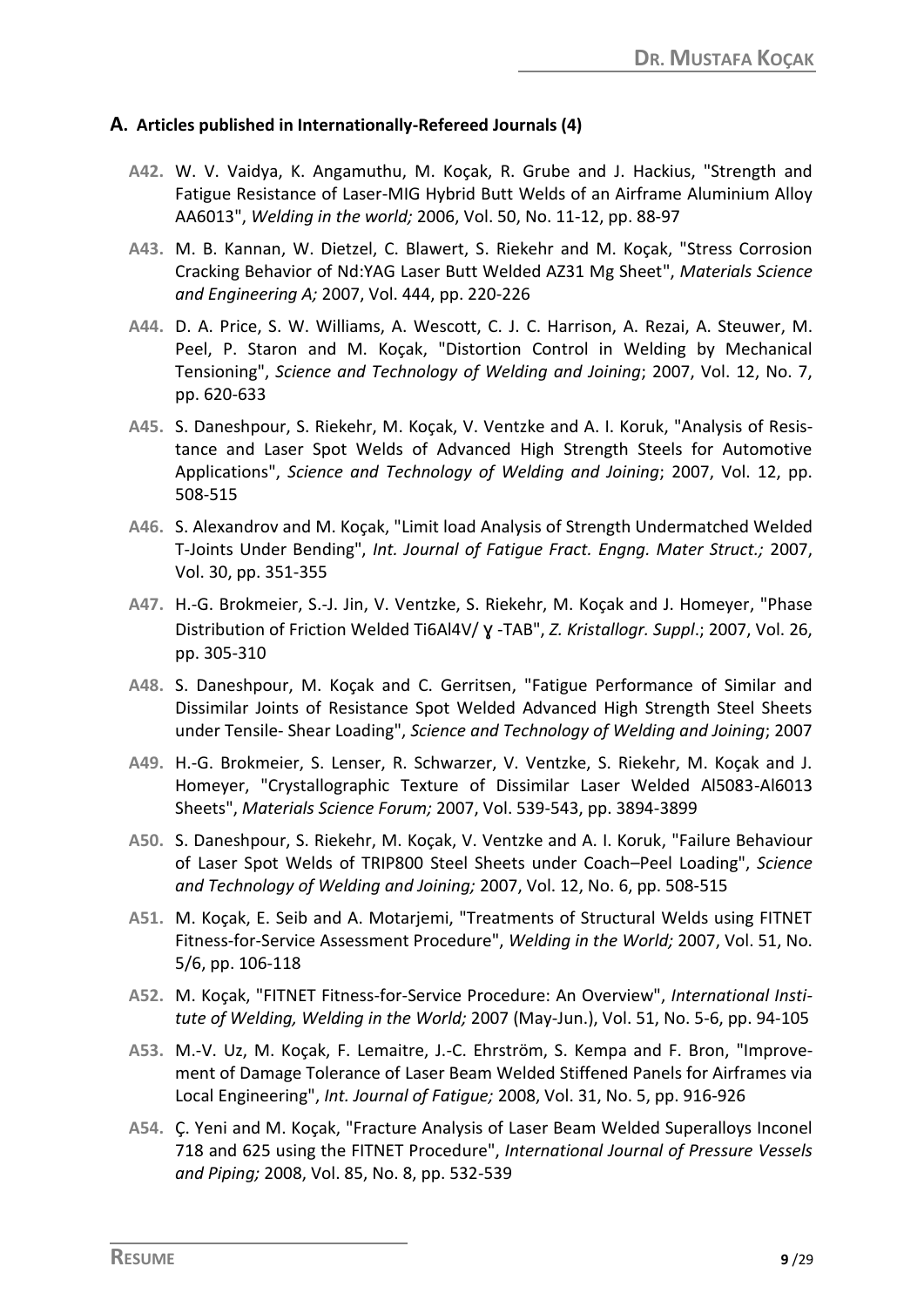#### **A. Articles published in Internationally-Refereed Journals (4)**

- **A42.** W. V. Vaidya, K. Angamuthu, M. Koçak, R. Grube and J. Hackius, "Strength and Fatigue Resistance of Laser-MIG Hybrid Butt Welds of an Airframe Aluminium Alloy AA6013", *Welding in the world;* 2006, Vol. 50, No. 11-12, pp. 88-97
- **A43.** M. B. Kannan, W. Dietzel, C. Blawert, S. Riekehr and M. Koçak, "Stress Corrosion Cracking Behavior of Nd:YAG Laser Butt Welded AZ31 Mg Sheet", *Materials Science and Engineering A;* 2007, Vol. 444, pp. 220-226
- **A44.** D. A. Price, S. W. Williams, A. Wescott, C. J. C. Harrison, A. Rezai, A. Steuwer, M. Peel, P. Staron and M. Koçak, "Distortion Control in Welding by Mechanical Tensioning", *Science and Technology of Welding and Joining*; 2007, Vol. 12, No. 7, pp. 620-633
- **A45.** S. Daneshpour, S. Riekehr, M. Koçak, V. Ventzke and A. I. Koruk, "Analysis of Resistance and Laser Spot Welds of Advanced High Strength Steels for Automotive Applications", *Science and Technology of Welding and Joining*; 2007, Vol. 12, pp. 508-515
- **A46.** S. Alexandrov and M. Koçak, "Limit load Analysis of Strength Undermatched Welded T-Joints Under Bending", *Int. Journal of Fatigue Fract. Engng. Mater Struct.;* 2007, Vol. 30, pp. 351-355
- **A47.** H.-G. Brokmeier, S.-J. Jin, V. Ventzke, S. Riekehr, M. Koçak and J. Homeyer, "Phase Distribution of Friction Welded Ti6Al4V/ ɣ -TAB", *Z. Kristallogr. Suppl*.; 2007, Vol. 26, pp. 305-310
- **A48.** S. Daneshpour, M. Koçak and C. Gerritsen, "Fatigue Performance of Similar and Dissimilar Joints of Resistance Spot Welded Advanced High Strength Steel Sheets under Tensile- Shear Loading", *Science and Technology of Welding and Joining*; 2007
- **A49.** H.-G. Brokmeier, S. Lenser, R. Schwarzer, V. Ventzke, S. Riekehr, M. Koçak and J. Homeyer, "Crystallographic Texture of Dissimilar Laser Welded Al5083-Al6013 Sheets", *Materials Science Forum;* 2007, Vol. 539-543, pp. 3894-3899
- **A50.** S. Daneshpour, S. Riekehr, M. Koçak, V. Ventzke and A. I. Koruk, "Failure Behaviour of Laser Spot Welds of TRIP800 Steel Sheets under Coach–Peel Loading", *Science and Technology of Welding and Joining;* 2007, Vol. 12, No. 6, pp. 508-515
- **A51.** M. Koçak, E. Seib and A. Motarjemi, "Treatments of Structural Welds using FITNET Fitness-for-Service Assessment Procedure", *Welding in the World;* 2007, Vol. 51, No. 5/6, pp. 106-118
- **A52.** M. Koçak, "FITNET Fitness-for-Service Procedure: An Overview", *International Institute of Welding, Welding in the World;* 2007 (May-Jun.), Vol. 51, No. 5-6, pp. 94-105
- **A53.** M.-V. Uz, M. Koçak, F. Lemaitre, J.-C. Ehrström, S. Kempa and F. Bron, "Improvement of Damage Tolerance of Laser Beam Welded Stiffened Panels for Airframes via Local Engineering", *Int. Journal of Fatigue;* 2008, Vol. 31, No. 5, pp. 916-926
- **A54.** Ç. Yeni and M. Koçak, "Fracture Analysis of Laser Beam Welded Superalloys Inconel 718 and 625 using the FITNET Procedure", *International Journal of Pressure Vessels and Piping;* 2008, Vol. 85, No. 8, pp. 532-539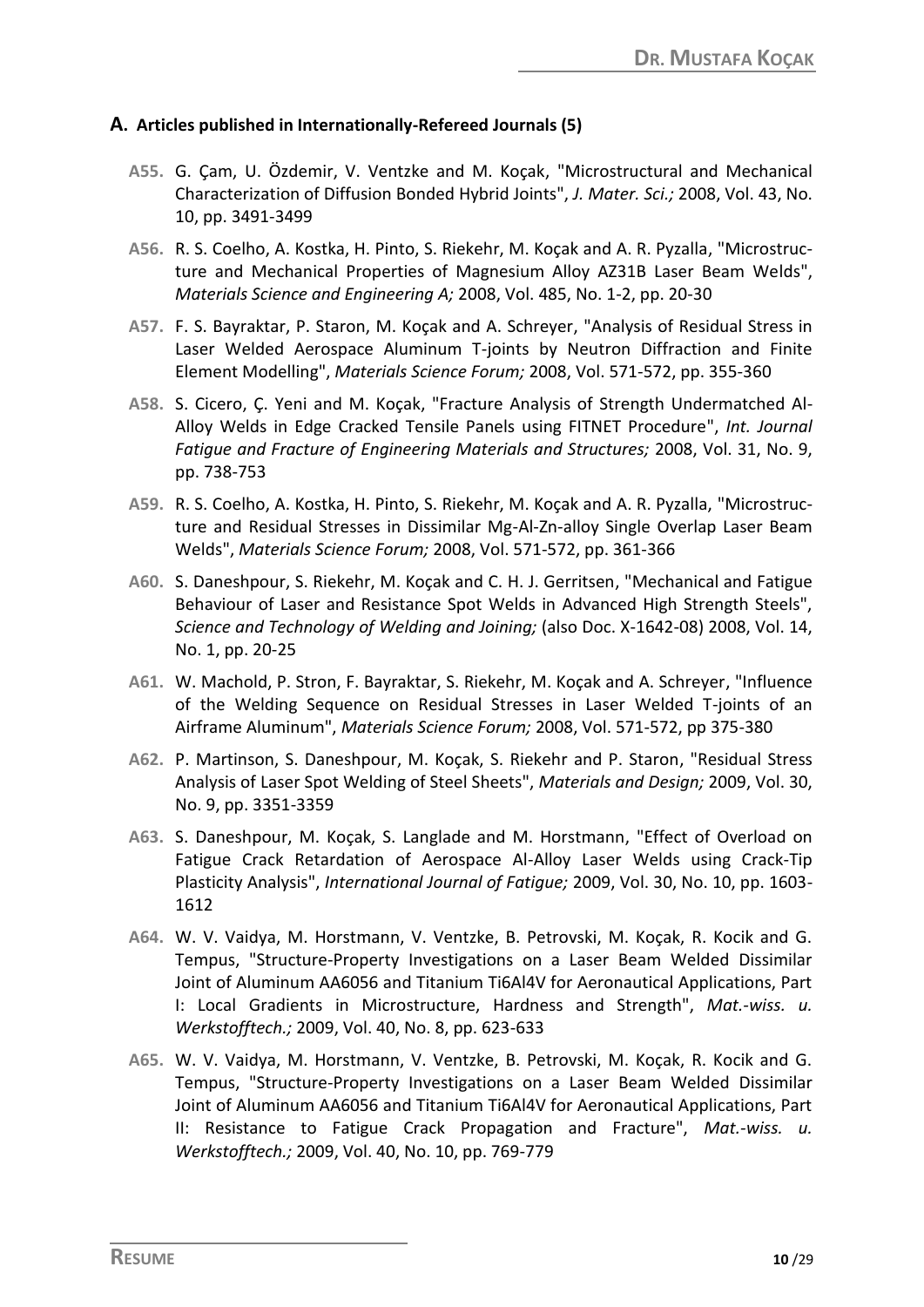#### **A. Articles published in Internationally-Refereed Journals (5)**

- **A55.** G. Çam, U. Özdemir, V. Ventzke and M. Koçak, "Microstructural and Mechanical Characterization of Diffusion Bonded Hybrid Joints", *J. Mater. Sci.;* 2008, Vol. 43, No. 10, pp. 3491-3499
- **A56.** R. S. Coelho, A. Kostka, H. Pinto, S. Riekehr, M. Koçak and A. R. Pyzalla, "Microstructure and Mechanical Properties of Magnesium Alloy AZ31B Laser Beam Welds", *Materials Science and Engineering A;* 2008, Vol. 485, No. 1-2, pp. 20-30
- **A57.** F. S. Bayraktar, P. Staron, M. Koçak and A. Schreyer, "Analysis of Residual Stress in Laser Welded Aerospace Aluminum T-joints by Neutron Diffraction and Finite Element Modelling", *Materials Science Forum;* 2008, Vol. 571-572, pp. 355-360
- **A58.** S. Cicero, Ç. Yeni and M. Koçak, "Fracture Analysis of Strength Undermatched Al-Alloy Welds in Edge Cracked Tensile Panels using FITNET Procedure", *Int. Journal Fatigue and Fracture of Engineering Materials and Structures;* 2008, Vol. 31, No. 9, pp. 738-753
- **A59.** R. S. Coelho, A. Kostka, H. Pinto, S. Riekehr, M. Koçak and A. R. Pyzalla, "Microstructure and Residual Stresses in Dissimilar Mg-Al-Zn-alloy Single Overlap Laser Beam Welds", *Materials Science Forum;* 2008, Vol. 571-572, pp. 361-366
- **A60.** S. Daneshpour, S. Riekehr, M. Koçak and C. H. J. Gerritsen, "Mechanical and Fatigue Behaviour of Laser and Resistance Spot Welds in Advanced High Strength Steels", *Science and Technology of Welding and Joining;* (also Doc. X-1642-08) 2008, Vol. 14, No. 1, pp. 20-25
- **A61.** W. Machold, P. Stron, F. Bayraktar, S. Riekehr, M. Koçak and A. Schreyer, "Influence of the Welding Sequence on Residual Stresses in Laser Welded T-joints of an Airframe Aluminum", *Materials Science Forum;* 2008, Vol. 571-572, pp 375-380
- **A62.** P. Martinson, S. Daneshpour, M. Koçak, S. Riekehr and P. Staron, "Residual Stress Analysis of Laser Spot Welding of Steel Sheets", *Materials and Design;* 2009, Vol. 30, No. 9, pp. 3351-3359
- **A63.** S. Daneshpour, M. Koçak, S. Langlade and M. Horstmann, "Effect of Overload on Fatigue Crack Retardation of Aerospace Al-Alloy Laser Welds using Crack-Tip Plasticity Analysis", *International Journal of Fatigue;* 2009, Vol. 30, No. 10, pp. 1603- 1612
- **A64.** W. V. Vaidya, M. Horstmann, V. Ventzke, B. Petrovski, M. Koçak, R. Kocik and G. Tempus, "Structure-Property Investigations on a Laser Beam Welded Dissimilar Joint of Aluminum AA6056 and Titanium Ti6Al4V for Aeronautical Applications, Part I: Local Gradients in Microstructure, Hardness and Strength", *Mat.-wiss. u. Werkstofftech.;* 2009, Vol. 40, No. 8, pp. 623-633
- **A65.** W. V. Vaidya, M. Horstmann, V. Ventzke, B. Petrovski, M. Koçak, R. Kocik and G. Tempus, "Structure-Property Investigations on a Laser Beam Welded Dissimilar Joint of Aluminum AA6056 and Titanium Ti6Al4V for Aeronautical Applications, Part II: Resistance to Fatigue Crack Propagation and Fracture", *Mat.-wiss. u. Werkstofftech.;* 2009, Vol. 40, No. 10, pp. 769-779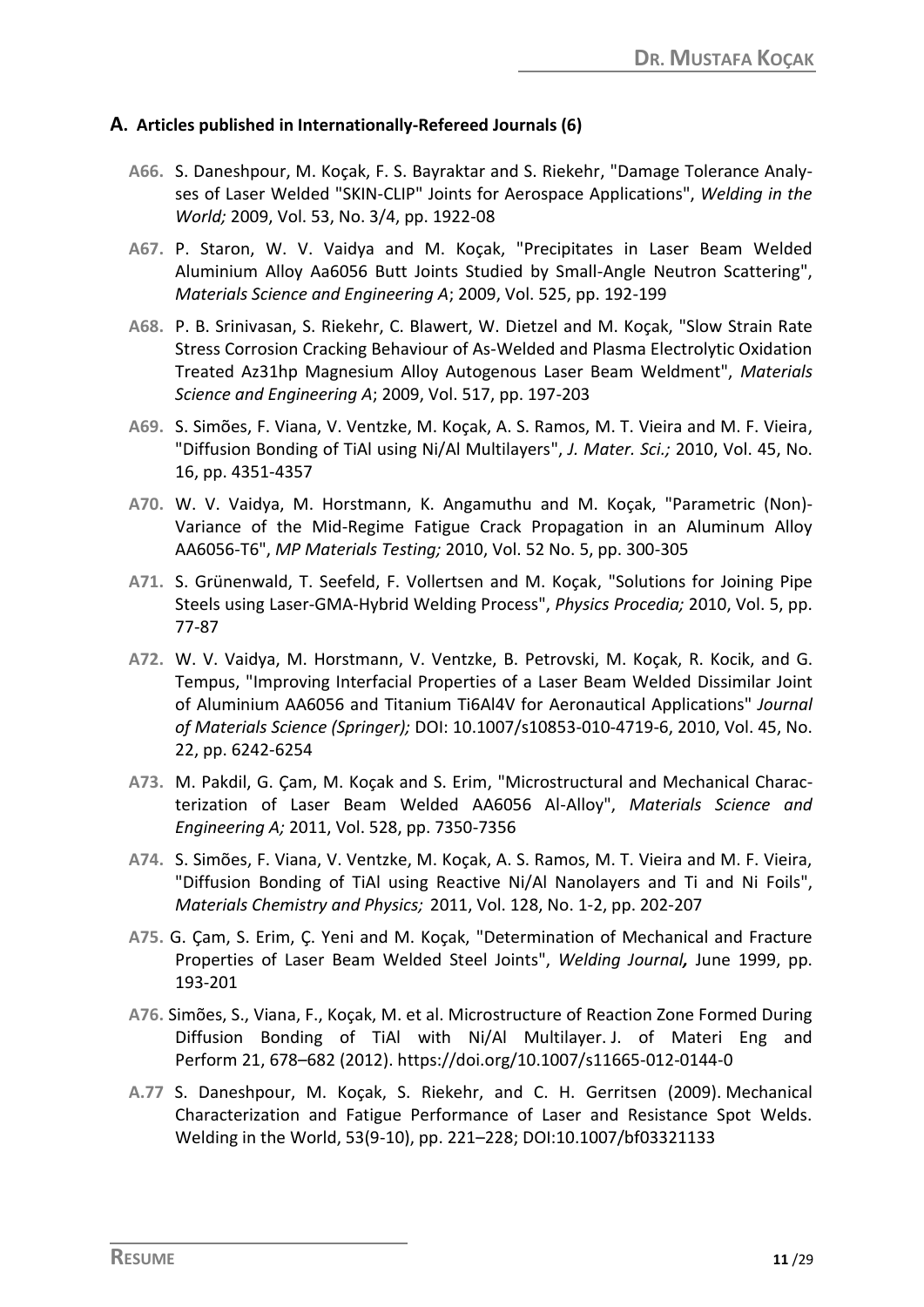#### **A. Articles published in Internationally-Refereed Journals (6)**

- **A66.** S. Daneshpour, M. Koçak, F. S. Bayraktar and S. Riekehr, "Damage Tolerance Analyses of Laser Welded "SKIN-CLIP" Joints for Aerospace Applications", *Welding in the World;* 2009, Vol. 53, No. 3/4, pp. 1922-08
- **A67.** P. Staron, W. V. Vaidya and M. Koçak, "Precipitates in Laser Beam Welded Aluminium Alloy Aa6056 Butt Joints Studied by Small-Angle Neutron Scattering", *Materials Science and Engineering A*; 2009, Vol. 525, pp. 192-199
- **A68.** P. B. Srinivasan, S. Riekehr, C. Blawert, W. Dietzel and M. Koçak, "Slow Strain Rate Stress Corrosion Cracking Behaviour of As-Welded and Plasma Electrolytic Oxidation Treated Az31hp Magnesium Alloy Autogenous Laser Beam Weldment", *Materials Science and Engineering A*; 2009, Vol. 517, pp. 197-203
- **A69.** S. Simões, F. Viana, V. Ventzke, M. Koçak, A. S. Ramos, M. T. Vieira and M. F. Vieira, "Diffusion Bonding of TiAl using Ni/Al Multilayers", *J. Mater. Sci.;* 2010, Vol. 45, No. 16, pp. 4351-4357
- **A70.** W. V. Vaidya, M. Horstmann, K. Angamuthu and M. Koçak, "Parametric (Non)- Variance of the Mid-Regime Fatigue Crack Propagation in an Aluminum Alloy AA6056-T6", *MP Materials Testing;* 2010, Vol. 52 No. 5, pp. 300-305
- **A71.** S. Grünenwald, T. Seefeld, F. Vollertsen and M. Koçak, "Solutions for Joining Pipe Steels using Laser-GMA-Hybrid Welding Process", *Physics Procedia;* 2010, Vol. 5, pp. 77-87
- **A72.** W. V. Vaidya, M. Horstmann, V. Ventzke, B. Petrovski, M. Koçak, R. Kocik, and G. Tempus, "Improving Interfacial Properties of a Laser Beam Welded Dissimilar Joint of Aluminium AA6056 and Titanium Ti6Al4V for Aeronautical Applications" *Journal of Materials Science (Springer);* DOI: 10.1007/s10853-010-4719-6, 2010, Vol. 45, No. 22, pp. 6242-6254
- **A73.** M. Pakdil, G. Çam, M. Koçak and S. Erim, "Microstructural and Mechanical Characterization of Laser Beam Welded AA6056 Al-Alloy", *Materials Science and Engineering A;* 2011, Vol. 528, pp. 7350-7356
- **A74.** S. Simões, F. Viana, V. Ventzke, M. Koçak, A. S. Ramos, M. T. Vieira and M. F. Vieira, "Diffusion Bonding of TiAl using Reactive Ni/Al Nanolayers and Ti and Ni Foils", *Materials Chemistry and Physics;* 2011, Vol. 128, No. 1-2, pp. 202-207
- **A75.** G. Çam, S. Erim, Ç. Yeni and M. Koçak, "Determination of Mechanical and Fracture Properties of Laser Beam Welded Steel Joints", *Welding Journal,* June 1999, pp. 193-201
- **A76.** Simões, S., Viana, F., Koçak, M. et al. Microstructure of Reaction Zone Formed During Diffusion Bonding of TiAl with Ni/Al Multilayer. J. of Materi Eng and Perform 21, 678–682 (2012). https://doi.org/10.1007/s11665-012-0144-0
- **A.77** S. Daneshpour, M. Koçak, S. Riekehr, and C. H. Gerritsen (2009). Mechanical Characterization and Fatigue Performance of Laser and Resistance Spot Welds. Welding in the World, 53(9-10), pp. 221–228; DOI:10.1007/bf03321133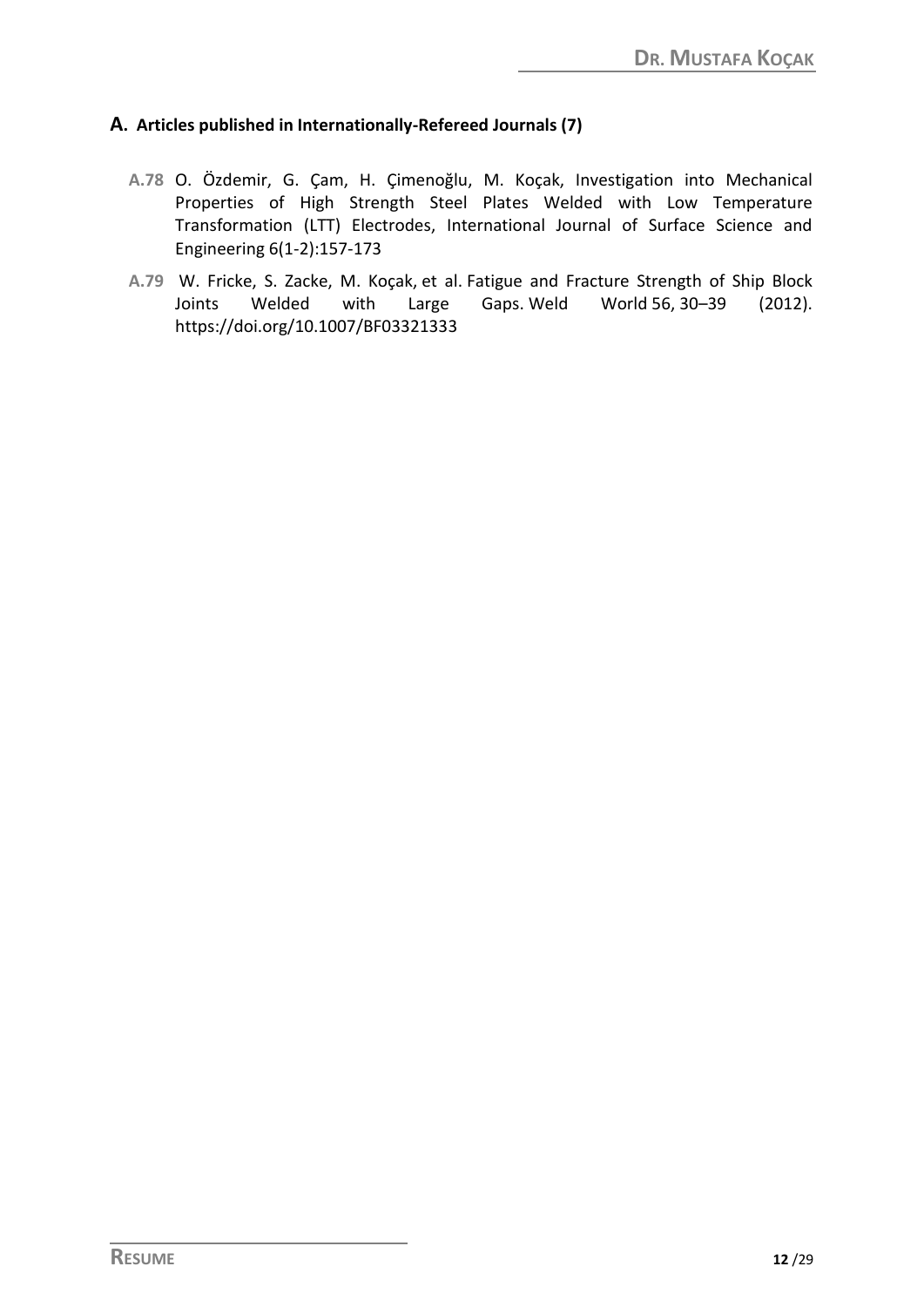### **A. Articles published in Internationally-Refereed Journals (7)**

- **A.78** O. Özdemir, G. Çam, H. Çimenoğlu, M. Koçak, Investigation into Mechanical Properties of High Strength Steel Plates Welded with Low Temperature Transformation (LTT) Electrodes, International Journal of Surface Science and Engineering 6(1-2):157-173
- **A.79** W. Fricke, S. Zacke, M. Koçak, et al. Fatigue and Fracture Strength of Ship Block Joints Welded with Large Gaps. Weld World 56, 30–39 (2012). https://doi.org/10.1007/BF03321333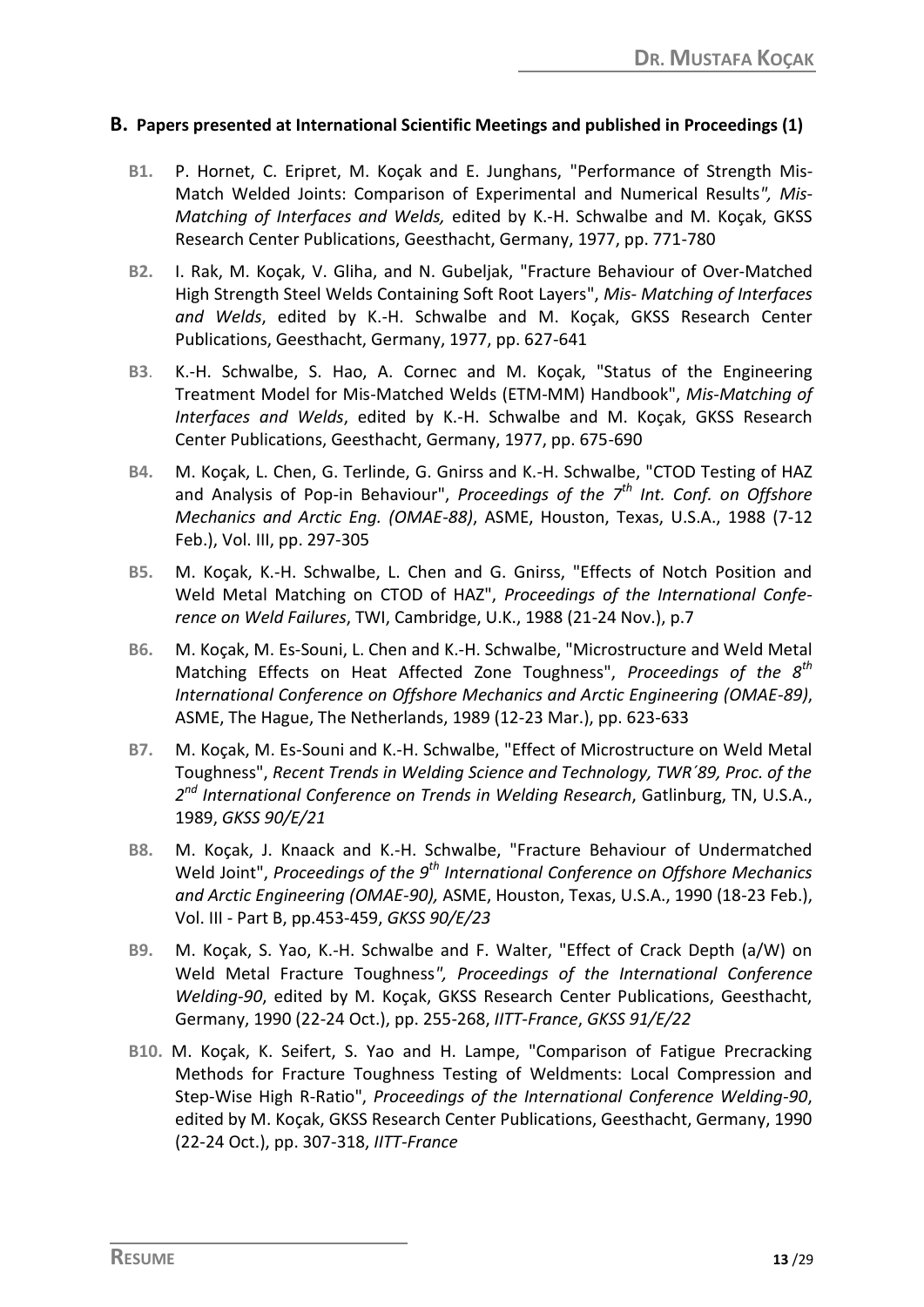#### **B. Papers presented at International Scientific Meetings and published in Proceedings (1)**

- **B1.** P. Hornet, C. Eripret, M. Koçak and E. Junghans, "Performance of Strength Mis-Match Welded Joints: Comparison of Experimental and Numerical Results*", Mis-Matching of Interfaces and Welds,* edited by K.-H. Schwalbe and M. Koçak, GKSS Research Center Publications, Geesthacht, Germany, 1977, pp. 771-780
- **B2.** I. Rak, M. Koçak, V. Gliha, and N. Gubeljak, "Fracture Behaviour of Over-Matched High Strength Steel Welds Containing Soft Root Layers", *Mis- Matching of Interfaces and Welds*, edited by K.-H. Schwalbe and M. Koçak, GKSS Research Center Publications, Geesthacht, Germany, 1977, pp. 627-641
- **B3**. K.-H. Schwalbe, S. Hao, A. Cornec and M. Koçak, "Status of the Engineering Treatment Model for Mis-Matched Welds (ETM-MM) Handbook", *Mis-Matching of Interfaces and Welds*, edited by K.-H. Schwalbe and M. Koçak, GKSS Research Center Publications, Geesthacht, Germany, 1977, pp. 675-690
- **B4.** M. Koçak, L. Chen, G. Terlinde, G. Gnirss and K.-H. Schwalbe, "CTOD Testing of HAZ and Analysis of Pop-in Behaviour", *Proceedings of the 7th Int. Conf. on Offshore Mechanics and Arctic Eng. (OMAE-88)*, ASME, Houston, Texas, U.S.A., 1988 (7-12 Feb.), Vol. III, pp. 297-305
- **B5.** M. Koçak, K.-H. Schwalbe, L. Chen and G. Gnirss, "Effects of Notch Position and Weld Metal Matching on CTOD of HAZ", *Proceedings of the International Conference on Weld Failures*, TWI, Cambridge, U.K., 1988 (21-24 Nov.), p.7
- **B6.** M. Koçak, M. Es-Souni, L. Chen and K.-H. Schwalbe, "Microstructure and Weld Metal Matching Effects on Heat Affected Zone Toughness", *Proceedings of the 8th International Conference on Offshore Mechanics and Arctic Engineering (OMAE-89)*, ASME, The Hague, The Netherlands, 1989 (12-23 Mar.), pp. 623-633
- **B7.** M. Koçak, M. Es-Souni and K.-H. Schwalbe, "Effect of Microstructure on Weld Metal Toughness", *Recent Trends in Welding Science and Technology, TWR´89, Proc. of the 2 nd International Conference on Trends in Welding Research*, Gatlinburg, TN, U.S.A., 1989, *GKSS 90/E/21*
- **B8.** M. Koçak, J. Knaack and K.-H. Schwalbe, "Fracture Behaviour of Undermatched Weld Joint", *Proceedings of the 9th International Conference on Offshore Mechanics and Arctic Engineering (OMAE-90),* ASME, Houston, Texas, U.S.A., 1990 (18-23 Feb.), Vol. III - Part B, pp.453-459, *GKSS 90/E/23*
- **B9.** M. Koçak, S. Yao, K.-H. Schwalbe and F. Walter, "Effect of Crack Depth (a/W) on Weld Metal Fracture Toughness*", Proceedings of the International Conference Welding-90*, edited by M. Koçak, GKSS Research Center Publications, Geesthacht, Germany, 1990 (22-24 Oct.), pp. 255-268, *IITT-France*, *GKSS 91/E/22*
- **B10.** M. Koçak, K. Seifert, S. Yao and H. Lampe, "Comparison of Fatigue Precracking Methods for Fracture Toughness Testing of Weldments: Local Compression and Step-Wise High R-Ratio", *Proceedings of the International Conference Welding-90*, edited by M. Koçak, GKSS Research Center Publications, Geesthacht, Germany, 1990 (22-24 Oct.), pp. 307-318, *IITT-France*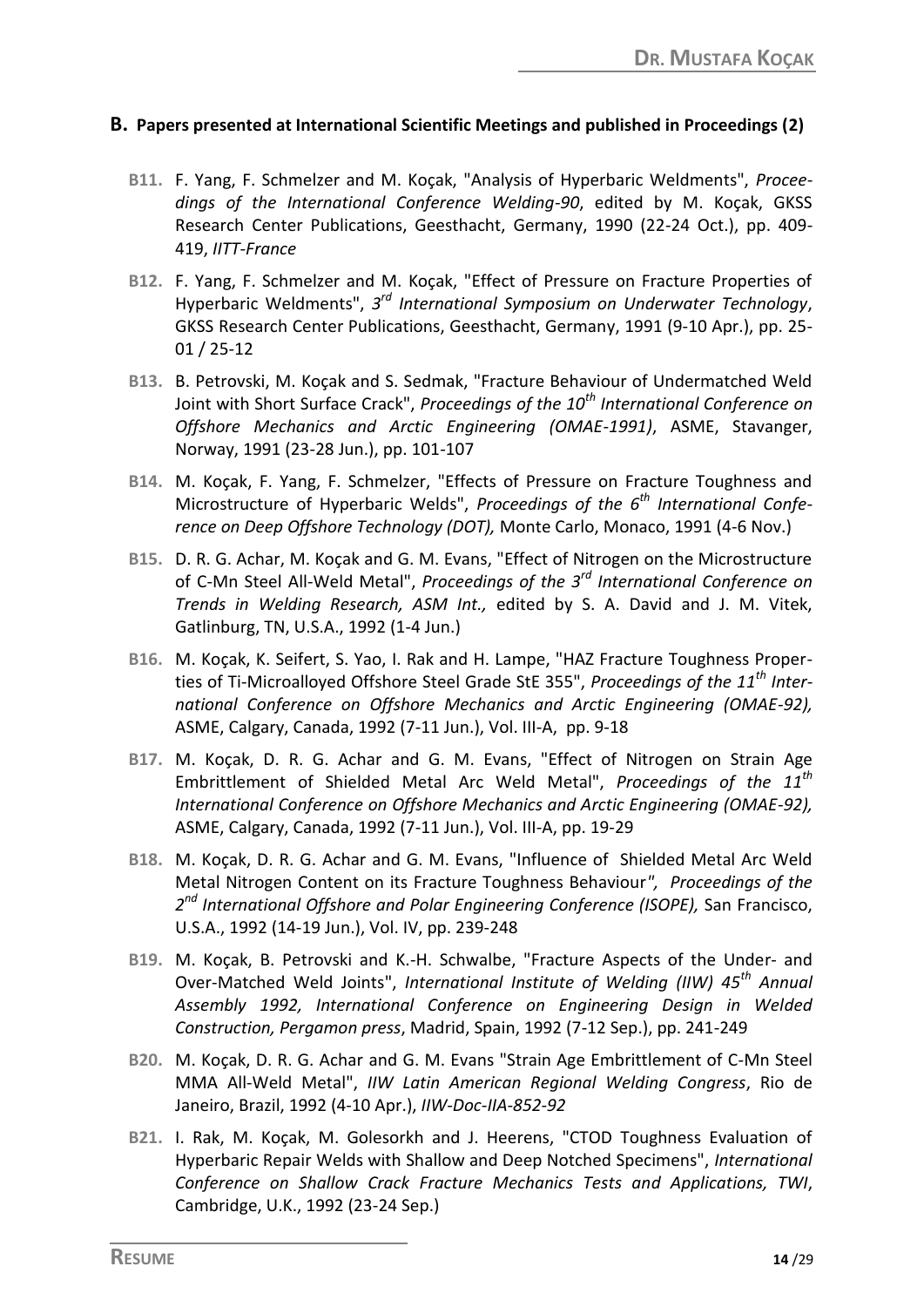#### **B. Papers presented at International Scientific Meetings and published in Proceedings (2)**

- **B11.** F. Yang, F. Schmelzer and M. Koçak, "Analysis of Hyperbaric Weldments", *Proceedings of the International Conference Welding-90*, edited by M. Koçak, GKSS Research Center Publications, Geesthacht, Germany, 1990 (22-24 Oct.), pp. 409- 419, *IITT-France*
- **B12.** F. Yang, F. Schmelzer and M. Koçak, "Effect of Pressure on Fracture Properties of Hyperbaric Weldments", *3 rd International Symposium on Underwater Technology*, GKSS Research Center Publications, Geesthacht, Germany, 1991 (9-10 Apr.), pp. 25- 01 / 25-12
- **B13.** B. Petrovski, M. Koçak and S. Sedmak, "Fracture Behaviour of Undermatched Weld Joint with Short Surface Crack", *Proceedings of the 10th International Conference on Offshore Mechanics and Arctic Engineering (OMAE-1991)*, ASME, Stavanger, Norway, 1991 (23-28 Jun.), pp. 101-107
- **B14.** M. Koçak, F. Yang, F. Schmelzer, "Effects of Pressure on Fracture Toughness and Microstructure of Hyperbaric Welds", *Proceedings of the 6 th International Conference on Deep Offshore Technology (DOT),* Monte Carlo, Monaco, 1991 (4-6 Nov.)
- **B15.** D. R. G. Achar, M. Koçak and G. M. Evans, "Effect of Nitrogen on the Microstructure of C-Mn Steel All-Weld Metal", *Proceedings of the 3rd International Conference on Trends in Welding Research, ASM Int.,* edited by S. A. David and J. M. Vitek, Gatlinburg, TN, U.S.A., 1992 (1-4 Jun.)
- **B16.** M. Koçak, K. Seifert, S. Yao, I. Rak and H. Lampe, "HAZ Fracture Toughness Properties of Ti-Microalloyed Offshore Steel Grade StE 355", *Proceedings of the 11th International Conference on Offshore Mechanics and Arctic Engineering (OMAE-92),* ASME, Calgary, Canada, 1992 (7-11 Jun.), Vol. III-A, pp. 9-18
- **B17.** M. Koçak, D. R. G. Achar and G. M. Evans, "Effect of Nitrogen on Strain Age Embrittlement of Shielded Metal Arc Weld Metal", *Proceedings of the 11th International Conference on Offshore Mechanics and Arctic Engineering (OMAE-92),* ASME, Calgary, Canada, 1992 (7-11 Jun.), Vol. III-A, pp. 19-29
- **B18.** M. Koçak, D. R. G. Achar and G. M. Evans, "Influence of Shielded Metal Arc Weld Metal Nitrogen Content on its Fracture Toughness Behaviour*", Proceedings of the 2 nd International Offshore and Polar Engineering Conference (ISOPE),* San Francisco, U.S.A., 1992 (14-19 Jun.), Vol. IV, pp. 239-248
- **B19.** M. Koçak, B. Petrovski and K.-H. Schwalbe, "Fracture Aspects of the Under- and Over-Matched Weld Joints", *International Institute of Welding (IIW) 45th Annual Assembly 1992, International Conference on Engineering Design in Welded Construction, Pergamon press*, Madrid, Spain, 1992 (7-12 Sep.), pp. 241-249
- **B20.** M. Koçak, D. R. G. Achar and G. M. Evans "Strain Age Embrittlement of C-Mn Steel MMA All-Weld Metal", *IIW Latin American Regional Welding Congress*, Rio de Janeiro, Brazil, 1992 (4-10 Apr.), *IIW-Doc-IIA-852-92*
- **B21.** I. Rak, M. Koçak, M. Golesorkh and J. Heerens, "CTOD Toughness Evaluation of Hyperbaric Repair Welds with Shallow and Deep Notched Specimens", *International Conference on Shallow Crack Fracture Mechanics Tests and Applications, TWI*, Cambridge, U.K., 1992 (23-24 Sep.)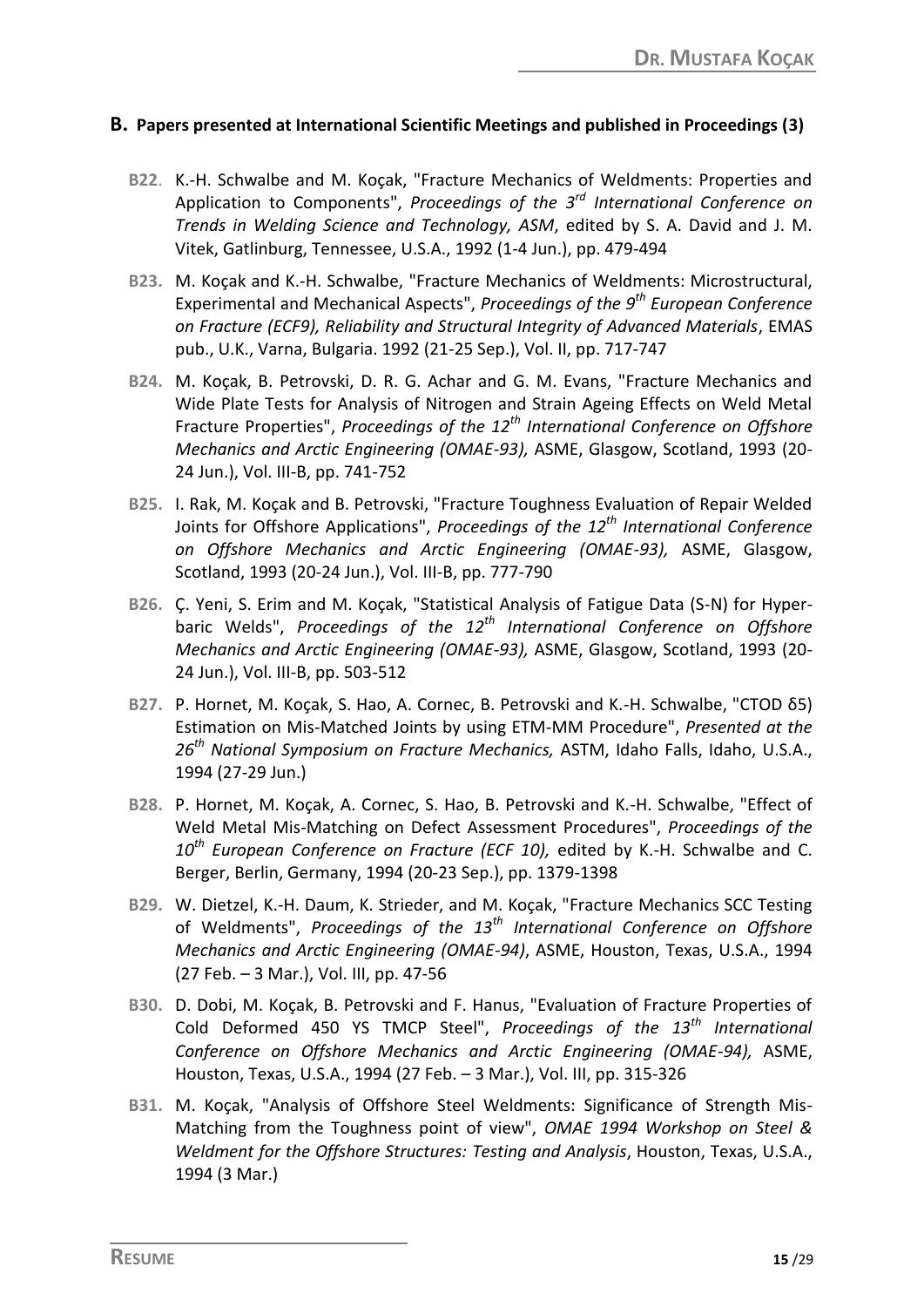#### **B. Papers presented at International Scientific Meetings and published in Proceedings (3)**

- **B22**. K.-H. Schwalbe and M. Koçak, "Fracture Mechanics of Weldments: Properties and Application to Components", *Proceedings of the 3rd International Conference on Trends in Welding Science and Technology, ASM*, edited by S. A. David and J. M. Vitek, Gatlinburg, Tennessee, U.S.A., 1992 (1-4 Jun.), pp. 479-494
- **B23.** M. Koçak and K.-H. Schwalbe, "Fracture Mechanics of Weldments: Microstructural, Experimental and Mechanical Aspects", *Proceedings of the 9th European Conference on Fracture (ECF9), Reliability and Structural Integrity of Advanced Materials*, EMAS pub., U.K., Varna, Bulgaria. 1992 (21-25 Sep.), Vol. II, pp. 717-747
- **B24.** M. Koçak, B. Petrovski, D. R. G. Achar and G. M. Evans, "Fracture Mechanics and Wide Plate Tests for Analysis of Nitrogen and Strain Ageing Effects on Weld Metal Fracture Properties", *Proceedings of the 12th International Conference on Offshore Mechanics and Arctic Engineering (OMAE-93),* ASME, Glasgow, Scotland, 1993 (20- 24 Jun.), Vol. III-B, pp. 741-752
- **B25.** I. Rak, M. Koçak and B. Petrovski, "Fracture Toughness Evaluation of Repair Welded Joints for Offshore Applications", *Proceedings of the 12th International Conference on Offshore Mechanics and Arctic Engineering (OMAE-93),* ASME, Glasgow, Scotland, 1993 (20-24 Jun.), Vol. III-B, pp. 777-790
- **B26.** Ç. Yeni, S. Erim and M. Koçak, "Statistical Analysis of Fatigue Data (S-N) for Hyperbaric Welds", *Proceedings of the 12th International Conference on Offshore Mechanics and Arctic Engineering (OMAE-93),* ASME, Glasgow, Scotland, 1993 (20- 24 Jun.), Vol. III-B, pp. 503-512
- **B27.** P. Hornet, M. Koçak, S. Hao, A. Cornec, B. Petrovski and K.-H. Schwalbe, "CTOD δ5) Estimation on Mis-Matched Joints by using ETM-MM Procedure", *Presented at the 26th National Symposium on Fracture Mechanics,* ASTM, Idaho Falls, Idaho, U.S.A., 1994 (27-29 Jun.)
- **B28.** P. Hornet, M. Koçak, A. Cornec, S. Hao, B. Petrovski and K.-H. Schwalbe, "Effect of Weld Metal Mis-Matching on Defect Assessment Procedures", *Proceedings of the 10th European Conference on Fracture (ECF 10),* edited by K.-H. Schwalbe and C. Berger, Berlin, Germany, 1994 (20-23 Sep.), pp. 1379-1398
- **B29.** W. Dietzel, K.-H. Daum, K. Strieder, and M. Koçak, "Fracture Mechanics SCC Testing of Weldments", *Proceedings of the 13th International Conference on Offshore Mechanics and Arctic Engineering (OMAE-94)*, ASME, Houston, Texas, U.S.A., 1994 (27 Feb. – 3 Mar.), Vol. III, pp. 47-56
- **B30.** D. Dobi, M. Koçak, B. Petrovski and F. Hanus, "Evaluation of Fracture Properties of Cold Deformed 450 YS TMCP Steel", *Proceedings of the 13th International Conference on Offshore Mechanics and Arctic Engineering (OMAE-94),* ASME, Houston, Texas, U.S.A., 1994 (27 Feb. – 3 Mar.), Vol. III, pp. 315-326
- **B31.** M. Koçak, "Analysis of Offshore Steel Weldments: Significance of Strength Mis-Matching from the Toughness point of view", *OMAE 1994 Workshop on Steel & Weldment for the Offshore Structures: Testing and Analysis*, Houston, Texas, U.S.A., 1994 (3 Mar.)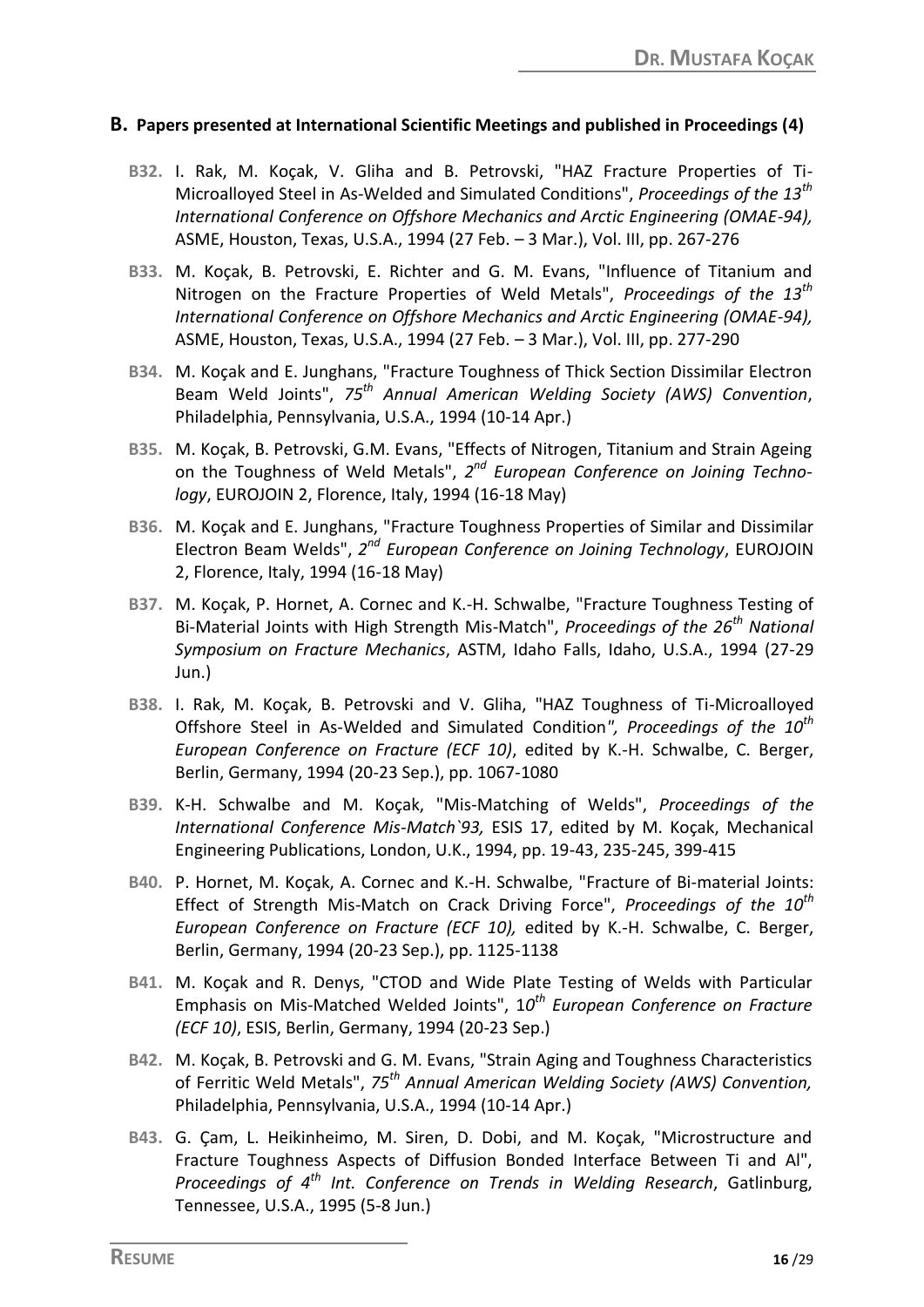#### **B. Papers presented at International Scientific Meetings and published in Proceedings (4)**

- **B32.** I. Rak, M. Koçak, V. Gliha and B. Petrovski, "HAZ Fracture Properties of Ti-Microalloyed Steel in As-Welded and Simulated Conditions", *Proceedings of the 13th International Conference on Offshore Mechanics and Arctic Engineering (OMAE-94),* ASME, Houston, Texas, U.S.A., 1994 (27 Feb. – 3 Mar.), Vol. III, pp. 267-276
- **B33.** M. Koçak, B. Petrovski, E. Richter and G. M. Evans, "Influence of Titanium and Nitrogen on the Fracture Properties of Weld Metals", *Proceedings of the 13th International Conference on Offshore Mechanics and Arctic Engineering (OMAE-94),* ASME, Houston, Texas, U.S.A., 1994 (27 Feb. – 3 Mar.), Vol. III, pp. 277-290
- **B34.** M. Koçak and E. Junghans, "Fracture Toughness of Thick Section Dissimilar Electron Beam Weld Joints", *75th Annual American Welding Society (AWS) Convention*, Philadelphia, Pennsylvania, U.S.A., 1994 (10-14 Apr.)
- **B35.** M. Koçak, B. Petrovski, G.M. Evans, "Effects of Nitrogen, Titanium and Strain Ageing on the Toughness of Weld Metals", *2 nd European Conference on Joining Technology*, EUROJOIN 2, Florence, Italy, 1994 (16-18 May)
- **B36.** M. Koçak and E. Junghans, "Fracture Toughness Properties of Similar and Dissimilar Electron Beam Welds", 2<sup>nd</sup> European Conference on Joining Technology, EUROJOIN 2, Florence, Italy, 1994 (16-18 May)
- **B37.** M. Koçak, P. Hornet, A. Cornec and K.-H. Schwalbe, "Fracture Toughness Testing of Bi-Material Joints with High Strength Mis-Match", *Proceedings of the 26th National Symposium on Fracture Mechanics*, ASTM, Idaho Falls, Idaho, U.S.A., 1994 (27-29 Jun.)
- **B38.** I. Rak, M. Koçak, B. Petrovski and V. Gliha, "HAZ Toughness of Ti-Microalloyed Offshore Steel in As-Welded and Simulated Condition*", Proceedings of the 10th European Conference on Fracture (ECF 10)*, edited by K.-H. Schwalbe, C. Berger, Berlin, Germany, 1994 (20-23 Sep.), pp. 1067-1080
- **B39.** K-H. Schwalbe and M. Koçak, "Mis-Matching of Welds", *Proceedings of the International Conference Mis-Match`93,* ESIS 17, edited by M. Koçak, Mechanical Engineering Publications, London, U.K., 1994, pp. 19-43, 235-245, 399-415
- **B40.** P. Hornet, M. Koçak, A. Cornec and K.-H. Schwalbe, "Fracture of Bi-material Joints: Effect of Strength Mis-Match on Crack Driving Force", *Proceedings of the 10th European Conference on Fracture (ECF 10),* edited by K.-H. Schwalbe, C. Berger, Berlin, Germany, 1994 (20-23 Sep.), pp. 1125-1138
- **B41.** M. Koçak and R. Denys, "CTOD and Wide Plate Testing of Welds with Particular Emphasis on Mis-Matched Welded Joints", 1*0 th European Conference on Fracture (ECF 10)*, ESIS, Berlin, Germany, 1994 (20-23 Sep.)
- **B42.** M. Koçak, B. Petrovski and G. M. Evans, "Strain Aging and Toughness Characteristics of Ferritic Weld Metals", *75th Annual American Welding Society (AWS) Convention,* Philadelphia, Pennsylvania, U.S.A., 1994 (10-14 Apr.)
- **B43.** G. Çam, L. Heikinheimo, M. Siren, D. Dobi, and M. Koçak, "Microstructure and Fracture Toughness Aspects of Diffusion Bonded Interface Between Ti and Al", *Proceedings of 4th Int. Conference on Trends in Welding Research*, Gatlinburg, Tennessee, U.S.A., 1995 (5-8 Jun.)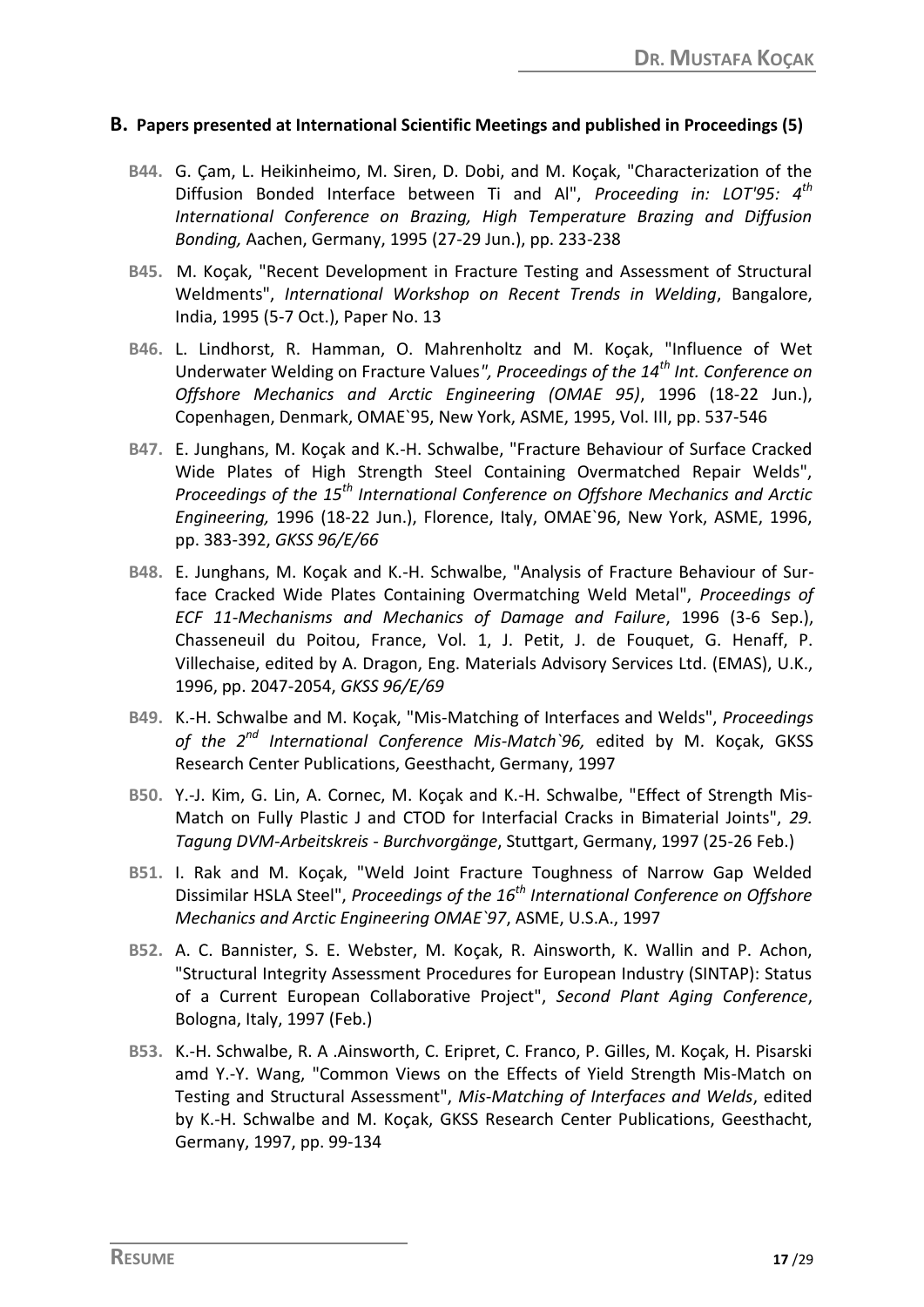#### **B. Papers presented at International Scientific Meetings and published in Proceedings (5)**

- **B44.** G. Çam, L. Heikinheimo, M. Siren, D. Dobi, and M. Koçak, "Characterization of the Diffusion Bonded Interface between Ti and Al", *Proceeding in: LOT'95: 4th International Conference on Brazing, High Temperature Brazing and Diffusion Bonding,* Aachen, Germany, 1995 (27-29 Jun.), pp. 233-238
- **B45.** M. Koçak, "Recent Development in Fracture Testing and Assessment of Structural Weldments", *International Workshop on Recent Trends in Welding*, Bangalore, India, 1995 (5-7 Oct.), Paper No. 13
- **B46.** L. Lindhorst, R. Hamman, O. Mahrenholtz and M. Koçak, "Influence of Wet Underwater Welding on Fracture Values*", Proceedings of the 14th Int. Conference on Offshore Mechanics and Arctic Engineering (OMAE 95)*, 1996 (18-22 Jun.), Copenhagen, Denmark, OMAE`95, New York, ASME, 1995, Vol. III, pp. 537-546
- **B47.** E. Junghans, M. Koçak and K.-H. Schwalbe, "Fracture Behaviour of Surface Cracked Wide Plates of High Strength Steel Containing Overmatched Repair Welds", *Proceedings of the 15th International Conference on Offshore Mechanics and Arctic Engineering,* 1996 (18-22 Jun.), Florence, Italy, OMAE`96, New York, ASME, 1996, pp. 383-392, *GKSS 96/E/66*
- **B48.** E. Junghans, M. Koçak and K.-H. Schwalbe, "Analysis of Fracture Behaviour of Surface Cracked Wide Plates Containing Overmatching Weld Metal", *Proceedings of ECF 11-Mechanisms and Mechanics of Damage and Failure*, 1996 (3-6 Sep.), Chasseneuil du Poitou, France, Vol. 1, J. Petit, J. de Fouquet, G. Henaff, P. Villechaise, edited by A. Dragon, Eng. Materials Advisory Services Ltd. (EMAS), U.K., 1996, pp. 2047-2054, *GKSS 96/E/69*
- **B49.** K.-H. Schwalbe and M. Koçak, "Mis-Matching of Interfaces and Welds", *Proceedings of the 2nd International Conference Mis-Match`96,* edited by M. Koçak, GKSS Research Center Publications, Geesthacht, Germany, 1997
- **B50.** Y.-J. Kim, G. Lin, A. Cornec, M. Koçak and K.-H. Schwalbe, "Effect of Strength Mis-Match on Fully Plastic J and CTOD for Interfacial Cracks in Bimaterial Joints", *29. Tagung DVM-Arbeitskreis - Burchvorgänge*, Stuttgart, Germany, 1997 (25-26 Feb.)
- **B51.** I. Rak and M. Koçak, "Weld Joint Fracture Toughness of Narrow Gap Welded Dissimilar HSLA Steel", *Proceedings of the 16th International Conference on Offshore Mechanics and Arctic Engineering OMAE`97*, ASME, U.S.A., 1997
- **B52.** A. C. Bannister, S. E. Webster, M. Koçak, R. Ainsworth, K. Wallin and P. Achon, "Structural Integrity Assessment Procedures for European Industry (SINTAP): Status of a Current European Collaborative Project", *Second Plant Aging Conference*, Bologna, Italy, 1997 (Feb.)
- **B53.** K.-H. Schwalbe, R. A .Ainsworth, C. Eripret, C. Franco, P. Gilles, M. Koçak, H. Pisarski amd Y.-Y. Wang, "Common Views on the Effects of Yield Strength Mis-Match on Testing and Structural Assessment", *Mis-Matching of Interfaces and Welds*, edited by K.-H. Schwalbe and M. Koçak, GKSS Research Center Publications, Geesthacht, Germany, 1997, pp. 99-134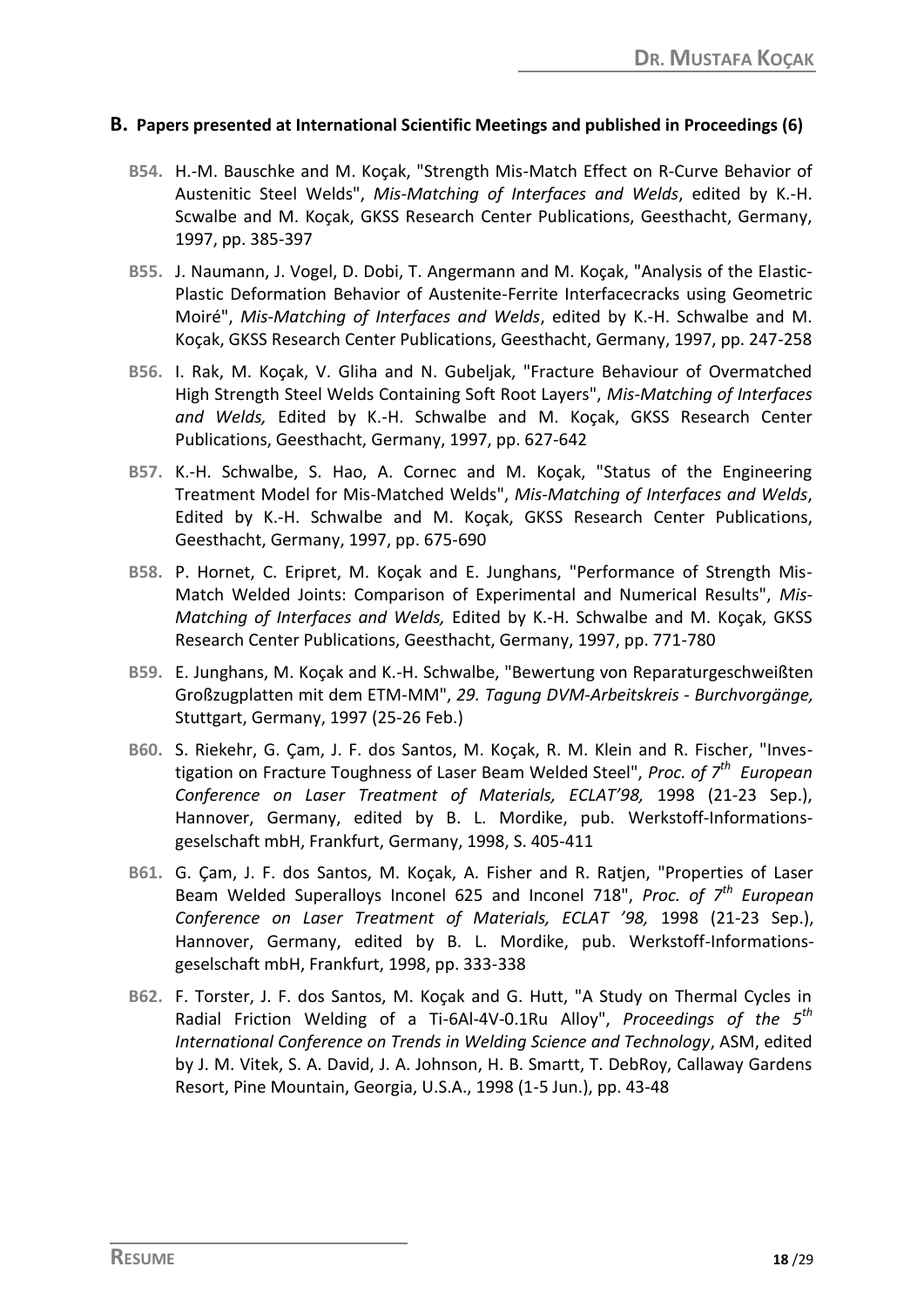#### **B. Papers presented at International Scientific Meetings and published in Proceedings (6)**

- **B54.** H.-M. Bauschke and M. Koçak, "Strength Mis-Match Effect on R-Curve Behavior of Austenitic Steel Welds", *Mis-Matching of Interfaces and Welds*, edited by K.-H. Scwalbe and M. Koçak, GKSS Research Center Publications, Geesthacht, Germany, 1997, pp. 385-397
- **B55.** J. Naumann, J. Vogel, D. Dobi, T. Angermann and M. Koçak, "Analysis of the Elastic-Plastic Deformation Behavior of Austenite-Ferrite Interfacecracks using Geometric Moiré", *Mis-Matching of Interfaces and Welds*, edited by K.-H. Schwalbe and M. Koçak, GKSS Research Center Publications, Geesthacht, Germany, 1997, pp. 247-258
- **B56.** I. Rak, M. Koçak, V. Gliha and N. Gubeljak, "Fracture Behaviour of Overmatched High Strength Steel Welds Containing Soft Root Layers", *Mis-Matching of Interfaces and Welds,* Edited by K.-H. Schwalbe and M. Koçak, GKSS Research Center Publications, Geesthacht, Germany, 1997, pp. 627-642
- **B57.** K.-H. Schwalbe, S. Hao, A. Cornec and M. Koçak, "Status of the Engineering Treatment Model for Mis-Matched Welds", *Mis-Matching of Interfaces and Welds*, Edited by K.-H. Schwalbe and M. Koçak, GKSS Research Center Publications, Geesthacht, Germany, 1997, pp. 675-690
- **B58.** P. Hornet, C. Eripret, M. Koçak and E. Junghans, "Performance of Strength Mis-Match Welded Joints: Comparison of Experimental and Numerical Results", *Mis-Matching of Interfaces and Welds,* Edited by K.-H. Schwalbe and M. Koçak, GKSS Research Center Publications, Geesthacht, Germany, 1997, pp. 771-780
- **B59.** E. Junghans, M. Koçak and K.-H. Schwalbe, "Bewertung von Reparaturgeschweißten Großzugplatten mit dem ETM-MM", *29. Tagung DVM-Arbeitskreis - Burchvorgänge,* Stuttgart, Germany, 1997 (25-26 Feb.)
- **B60.** S. Riekehr, G. Çam, J. F. dos Santos, M. Koçak, R. M. Klein and R. Fischer, "Investigation on Fracture Toughness of Laser Beam Welded Steel", *Proc. of 7th European Conference on Laser Treatment of Materials, ECLAT'98,* 1998 (21-23 Sep.), Hannover, Germany, edited by B. L. Mordike, pub. Werkstoff-Informationsgeselschaft mbH, Frankfurt, Germany, 1998, S. 405-411
- **B61.** G. Çam, J. F. dos Santos, M. Koçak, A. Fisher and R. Ratjen, "Properties of Laser Beam Welded Superalloys Inconel 625 and Inconel 718", *Proc. of 7th European Conference on Laser Treatment of Materials, ECLAT '98,* 1998 (21-23 Sep.), Hannover, Germany, edited by B. L. Mordike, pub. Werkstoff-Informationsgeselschaft mbH, Frankfurt, 1998, pp. 333-338
- **B62.** F. Torster, J. F. dos Santos, M. Koçak and G. Hutt, "A Study on Thermal Cycles in Radial Friction Welding of a Ti-6Al-4V-0.1Ru Alloy", *Proceedings of the 5th International Conference on Trends in Welding Science and Technology*, ASM, edited by J. M. Vitek, S. A. David, J. A. Johnson, H. B. Smartt, T. DebRoy, Callaway Gardens Resort, Pine Mountain, Georgia, U.S.A., 1998 (1-5 Jun.), pp. 43-48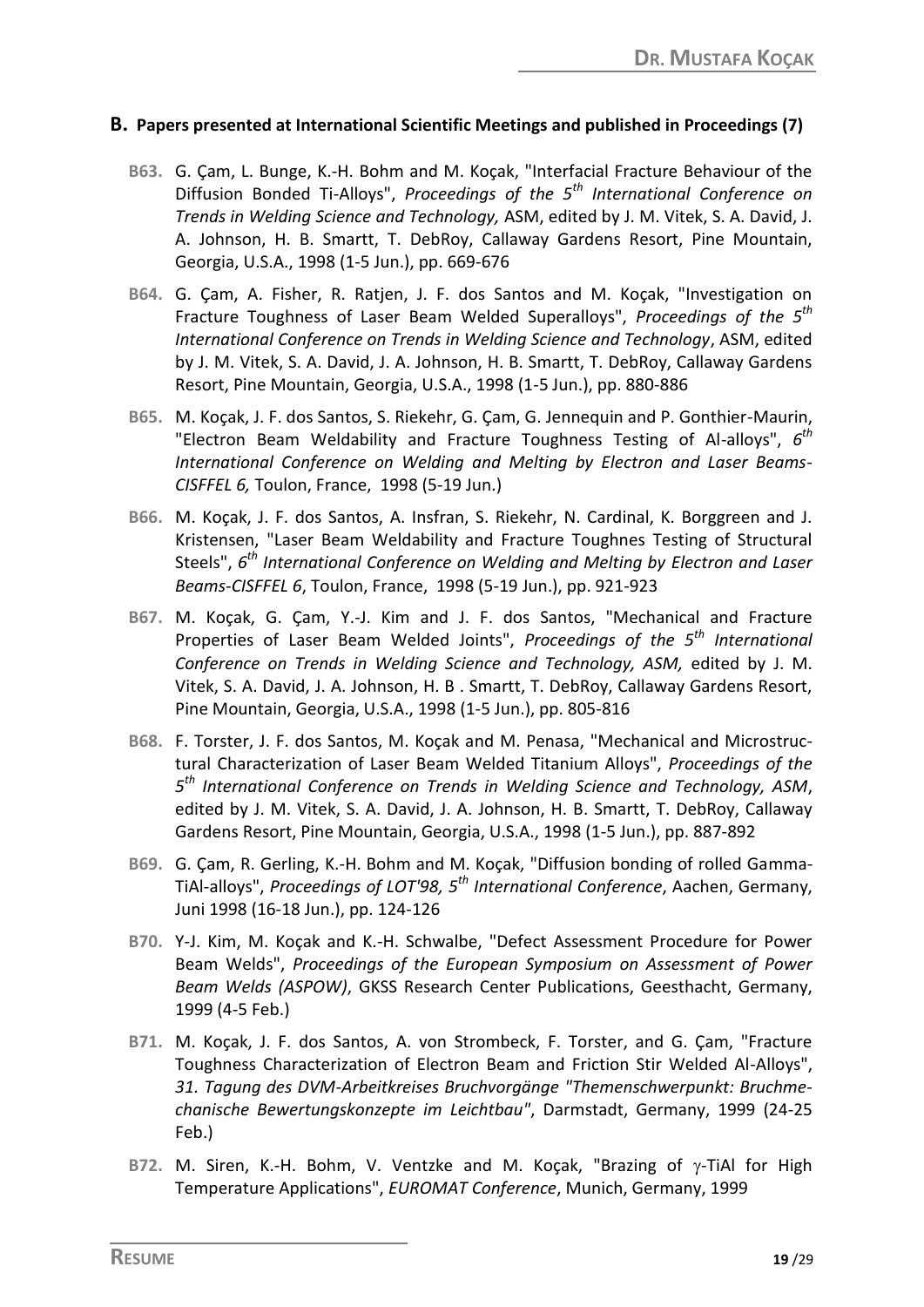#### **B. Papers presented at International Scientific Meetings and published in Proceedings (7)**

- **B63.** G. Çam, L. Bunge, K.-H. Bohm and M. Koçak, "Interfacial Fracture Behaviour of the Diffusion Bonded Ti-Alloys", *Proceedings of the 5th International Conference on Trends in Welding Science and Technology,* ASM, edited by J. M. Vitek, S. A. David, J. A. Johnson, H. B. Smartt, T. DebRoy, Callaway Gardens Resort, Pine Mountain, Georgia, U.S.A., 1998 (1-5 Jun.), pp. 669-676
- **B64.** G. Çam, A. Fisher, R. Ratjen, J. F. dos Santos and M. Koçak, "Investigation on Fracture Toughness of Laser Beam Welded Superalloys", *Proceedings of the 5th International Conference on Trends in Welding Science and Technology*, ASM, edited by J. M. Vitek, S. A. David, J. A. Johnson, H. B. Smartt, T. DebRoy, Callaway Gardens Resort, Pine Mountain, Georgia, U.S.A., 1998 (1-5 Jun.), pp. 880-886
- **B65.** M. Koçak, J. F. dos Santos, S. Riekehr, G. Çam, G. Jennequin and P. Gonthier-Maurin, "Electron Beam Weldability and Fracture Toughness Testing of Al-alloys", *6 th International Conference on Welding and Melting by Electron and Laser Beams-CISFFEL 6,* Toulon, France, 1998 (5-19 Jun.)
- **B66.** M. Koçak, J. F. dos Santos, A. Insfran, S. Riekehr, N. Cardinal, K. Borggreen and J. Kristensen, "Laser Beam Weldability and Fracture Toughnes Testing of Structural Steels", *6 th International Conference on Welding and Melting by Electron and Laser Beams-CISFFEL 6*, Toulon, France, 1998 (5-19 Jun.), pp. 921-923
- **B67.** M. Koçak, G. Çam, Y.-J. Kim and J. F. dos Santos, "Mechanical and Fracture Properties of Laser Beam Welded Joints", *Proceedings of the 5th International Conference on Trends in Welding Science and Technology, ASM,* edited by J. M. Vitek, S. A. David, J. A. Johnson, H. B . Smartt, T. DebRoy, Callaway Gardens Resort, Pine Mountain, Georgia, U.S.A., 1998 (1-5 Jun.), pp. 805-816
- **B68.** F. Torster, J. F. dos Santos, M. Koçak and M. Penasa, "Mechanical and Microstructural Characterization of Laser Beam Welded Titanium Alloys", *Proceedings of the 5 th International Conference on Trends in Welding Science and Technology, ASM*, edited by J. M. Vitek, S. A. David, J. A. Johnson, H. B. Smartt, T. DebRoy, Callaway Gardens Resort, Pine Mountain, Georgia, U.S.A., 1998 (1-5 Jun.), pp. 887-892
- **B69.** G. Çam, R. Gerling, K.-H. Bohm and M. Koçak, "Diffusion bonding of rolled Gamma-TiAl-alloys", *Proceedings of LOT'98, 5th International Conference*, Aachen, Germany, Juni 1998 (16-18 Jun.), pp. 124-126
- **B70.** Y-J. Kim, M. Koçak and K.-H. Schwalbe, "Defect Assessment Procedure for Power Beam Welds", *Proceedings of the European Symposium on Assessment of Power Beam Welds (ASPOW)*, GKSS Research Center Publications, Geesthacht, Germany, 1999 (4-5 Feb.)
- **B71.** M. Koçak, J. F. dos Santos, A. von Strombeck, F. Torster, and G. Çam, "Fracture Toughness Characterization of Electron Beam and Friction Stir Welded Al-Alloys", *31. Tagung des DVM-Arbeitkreises Bruchvorgänge "Themenschwerpunkt: Bruchmechanische Bewertungskonzepte im Leichtbau"*, Darmstadt, Germany, 1999 (24-25 Feb.)
- B72. M. Siren, K.-H. Bohm, V. Ventzke and M. Koçak, "Brazing of y-TiAl for High Temperature Applications", *EUROMAT Conference*, Munich, Germany, 1999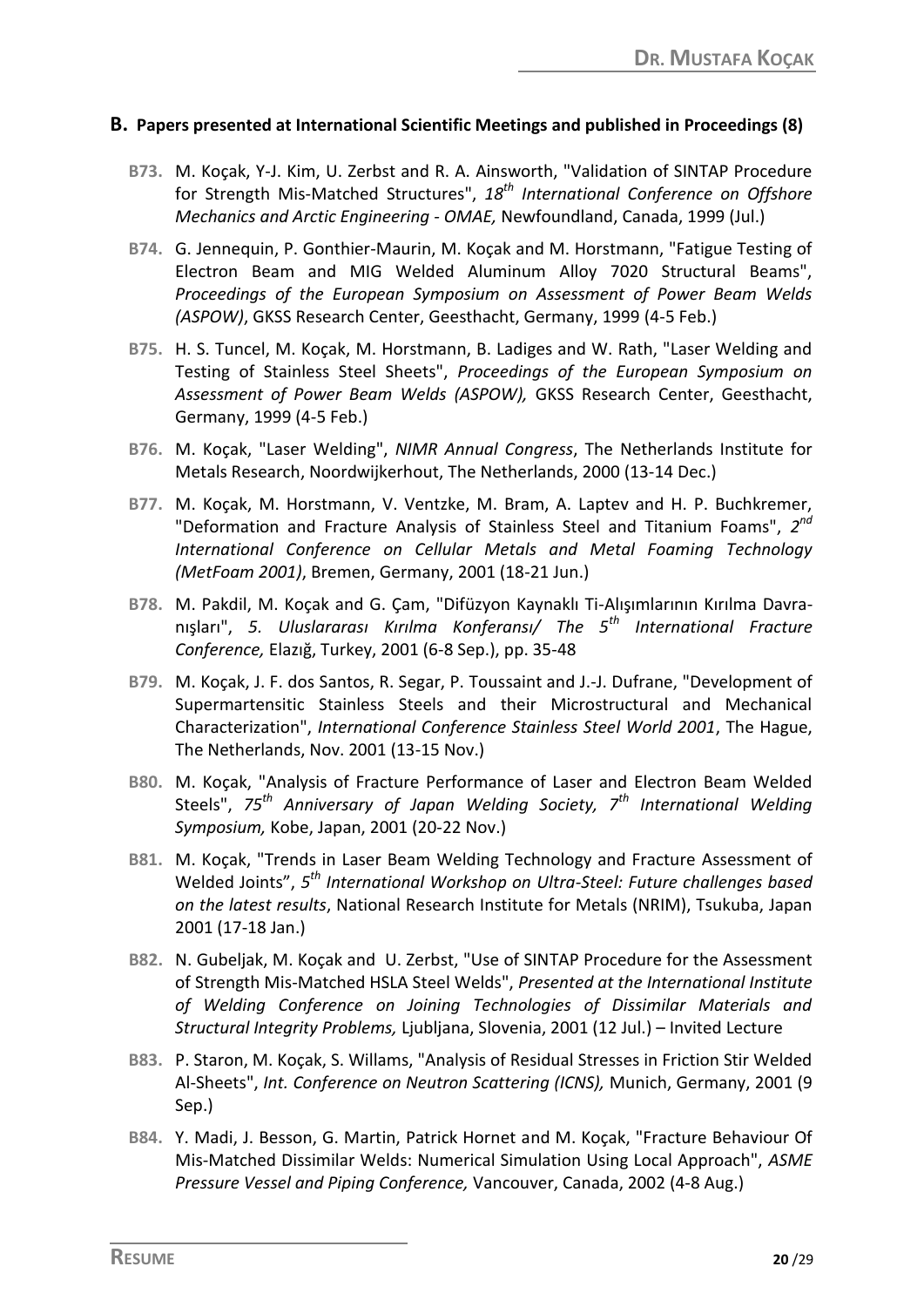#### **B. Papers presented at International Scientific Meetings and published in Proceedings (8)**

- **B73.** M. Koçak, Y-J. Kim, U. Zerbst and R. A. Ainsworth, "Validation of SINTAP Procedure for Strength Mis-Matched Structures", *18th International Conference on Offshore Mechanics and Arctic Engineering - OMAE,* Newfoundland, Canada, 1999 (Jul.)
- **B74.** G. Jennequin, P. Gonthier-Maurin, M. Koçak and M. Horstmann, "Fatigue Testing of Electron Beam and MIG Welded Aluminum Alloy 7020 Structural Beams", *Proceedings of the European Symposium on Assessment of Power Beam Welds (ASPOW)*, GKSS Research Center, Geesthacht, Germany, 1999 (4-5 Feb.)
- **B75.** H. S. Tuncel, M. Koçak, M. Horstmann, B. Ladiges and W. Rath, "Laser Welding and Testing of Stainless Steel Sheets", *Proceedings of the European Symposium on Assessment of Power Beam Welds (ASPOW),* GKSS Research Center, Geesthacht, Germany, 1999 (4-5 Feb.)
- **B76.** M. Koçak, "Laser Welding", *NIMR Annual Congress*, The Netherlands Institute for Metals Research, Noordwijkerhout, The Netherlands, 2000 (13-14 Dec.)
- **B77.** M. Koçak, M. Horstmann, V. Ventzke, M. Bram, A. Laptev and H. P. Buchkremer, "Deformation and Fracture Analysis of Stainless Steel and Titanium Foams", *2 nd International Conference on Cellular Metals and Metal Foaming Technology (MetFoam 2001)*, Bremen, Germany, 2001 (18-21 Jun.)
- **B78.** M. Pakdil, M. Koçak and G. Çam, "Difüzyon Kaynaklı Ti-Alışımlarının Kırılma Davranışları", *5. Uluslararası Kırılma Konferansı/ The 5th International Fracture Conference,* Elazığ, Turkey, 2001 (6-8 Sep.), pp. 35-48
- **B79.** M. Koçak, J. F. dos Santos, R. Segar, P. Toussaint and J.-J. Dufrane, "Development of Supermartensitic Stainless Steels and their Microstructural and Mechanical Characterization", *International Conference Stainless Steel World 2001*, The Hague, The Netherlands, Nov. 2001 (13-15 Nov.)
- **B80.** M. Koçak, "Analysis of Fracture Performance of Laser and Electron Beam Welded Steels", *75th Anniversary of Japan Welding Society, 7th International Welding Symposium,* Kobe, Japan, 2001 (20-22 Nov.)
- **B81.** M. Koçak, "Trends in Laser Beam Welding Technology and Fracture Assessment of Welded Joints", *5 th International Workshop on Ultra-Steel: Future challenges based on the latest results*, National Research Institute for Metals (NRIM), Tsukuba, Japan 2001 (17-18 Jan.)
- **B82.** N. Gubeljak, M. Koçak and U. Zerbst, "Use of SINTAP Procedure for the Assessment of Strength Mis-Matched HSLA Steel Welds", *Presented at the International Institute of Welding Conference on Joining Technologies of Dissimilar Materials and Structural Integrity Problems,* Ljubljana, Slovenia, 2001 (12 Jul.) – Invited Lecture
- **B83.** P. Staron, M. Koçak, S. Willams, "Analysis of Residual Stresses in Friction Stir Welded Al-Sheets", *Int. Conference on Neutron Scattering (ICNS),* Munich, Germany, 2001 (9 Sep.)
- **B84.** Y. Madi, J. Besson, G. Martin, Patrick Hornet and M. Koçak, "Fracture Behaviour Of Mis-Matched Dissimilar Welds: Numerical Simulation Using Local Approach", *ASME Pressure Vessel and Piping Conference,* Vancouver, Canada, 2002 (4-8 Aug.)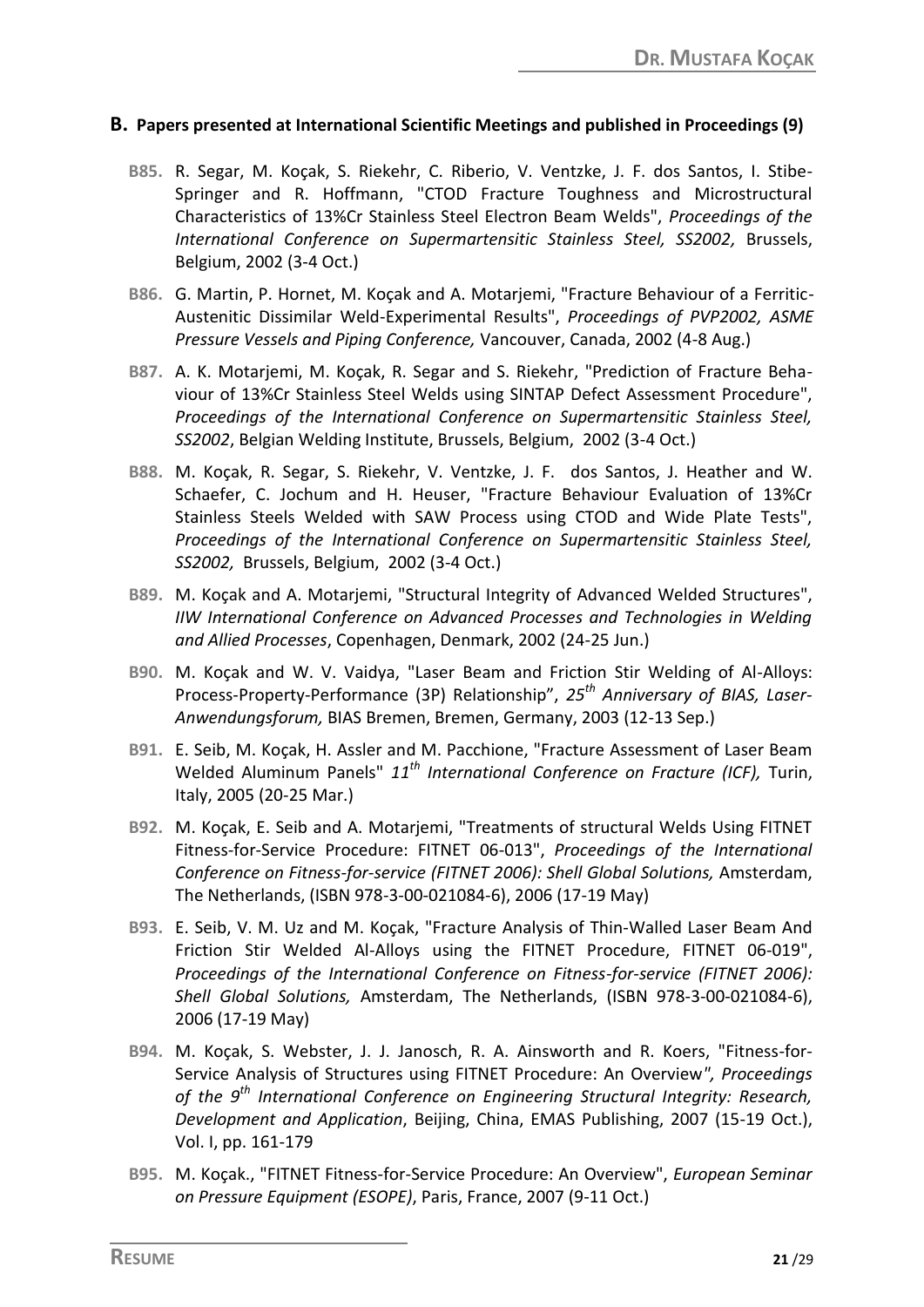#### **B. Papers presented at International Scientific Meetings and published in Proceedings (9)**

- **B85.** R. Segar, M. Koçak, S. Riekehr, C. Riberio, V. Ventzke, J. F. dos Santos, I. Stibe-Springer and R. Hoffmann, "CTOD Fracture Toughness and Microstructural Characteristics of 13%Cr Stainless Steel Electron Beam Welds", *Proceedings of the International Conference on Supermartensitic Stainless Steel, SS2002,* Brussels, Belgium, 2002 (3-4 Oct.)
- **B86.** G. Martin, P. Hornet, M. Koçak and A. Motarjemi, "Fracture Behaviour of a Ferritic-Austenitic Dissimilar Weld-Experimental Results", *Proceedings of PVP2002, ASME Pressure Vessels and Piping Conference,* Vancouver, Canada, 2002 (4-8 Aug.)
- **B87.** A. K. Motarjemi, M. Koçak, R. Segar and S. Riekehr, "Prediction of Fracture Behaviour of 13%Cr Stainless Steel Welds using SINTAP Defect Assessment Procedure", *Proceedings of the International Conference on Supermartensitic Stainless Steel, SS2002*, Belgian Welding Institute, Brussels, Belgium, 2002 (3-4 Oct.)
- **B88.** M. Koçak, R. Segar, S. Riekehr, V. Ventzke, J. F. dos Santos, J. Heather and W. Schaefer, C. Jochum and H. Heuser, "Fracture Behaviour Evaluation of 13%Cr Stainless Steels Welded with SAW Process using CTOD and Wide Plate Tests", *Proceedings of the International Conference on Supermartensitic Stainless Steel, SS2002,* Brussels, Belgium, 2002 (3-4 Oct.)
- **B89.** M. Koçak and A. Motarjemi, "Structural Integrity of Advanced Welded Structures", *IIW International Conference on Advanced Processes and Technologies in Welding and Allied Processes*, Copenhagen, Denmark, 2002 (24-25 Jun.)
- **B90.** M. Koçak and W. V. Vaidya, "Laser Beam and Friction Stir Welding of Al-Alloys: Process-Property-Performance (3P) Relationship", *25th Anniversary of BIAS, Laser-Anwendungsforum,* BIAS Bremen, Bremen, Germany, 2003 (12-13 Sep.)
- **B91.** E. Seib, M. Koçak, H. Assler and M. Pacchione, "Fracture Assessment of Laser Beam Welded Aluminum Panels" *11th International Conference on Fracture (ICF),* Turin, Italy, 2005 (20-25 Mar.)
- **B92.** M. Koçak, E. Seib and A. Motarjemi, "Treatments of structural Welds Using FITNET Fitness-for-Service Procedure: FITNET 06-013", *Proceedings of the International Conference on Fitness-for-service (FITNET 2006): Shell Global Solutions,* Amsterdam, The Netherlands, (ISBN 978-3-00-021084-6), 2006 (17-19 May)
- **B93.** E. Seib, V. M. Uz and M. Koçak, "Fracture Analysis of Thin-Walled Laser Beam And Friction Stir Welded Al-Alloys using the FITNET Procedure, FITNET 06-019", *Proceedings of the International Conference on Fitness-for-service (FITNET 2006): Shell Global Solutions,* Amsterdam, The Netherlands, (ISBN 978-3-00-021084-6), 2006 (17-19 May)
- **B94.** M. Koçak, S. Webster, J. J. Janosch, R. A. Ainsworth and R. Koers, "Fitness-for-Service Analysis of Structures using FITNET Procedure: An Overview*", Proceedings of the 9th International Conference on Engineering Structural Integrity: Research, Development and Application*, Beijing, China, EMAS Publishing, 2007 (15-19 Oct.), Vol. I, pp. 161-179
- **B95.** M. Koçak., "FITNET Fitness-for-Service Procedure: An Overview", *European Seminar on Pressure Equipment (ESOPE)*, Paris, France, 2007 (9-11 Oct.)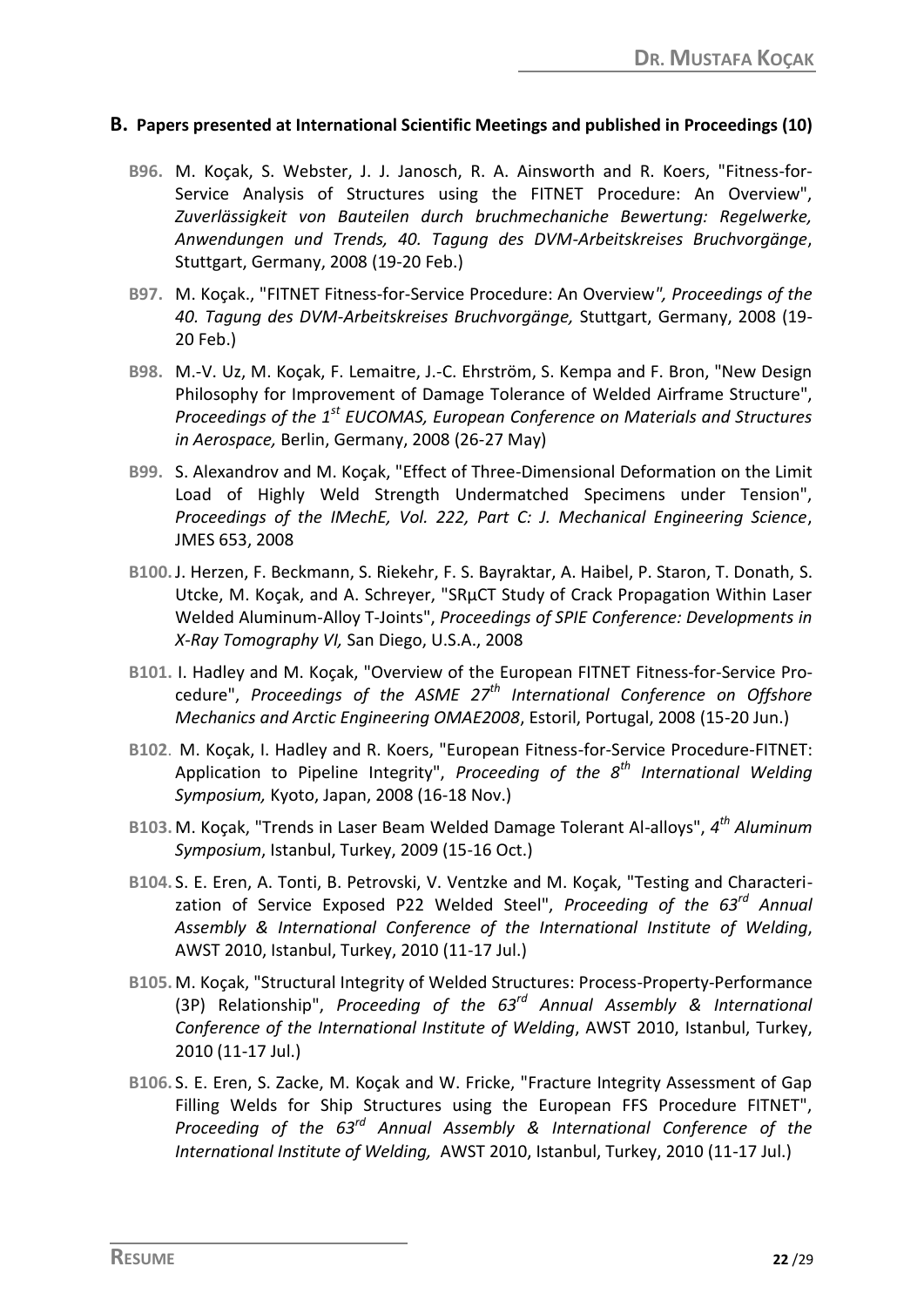#### **B. Papers presented at International Scientific Meetings and published in Proceedings (10)**

- **B96.** M. Koçak, S. Webster, J. J. Janosch, R. A. Ainsworth and R. Koers, "Fitness-for-Service Analysis of Structures using the FITNET Procedure: An Overview", *Zuverlässigkeit von Bauteilen durch bruchmechaniche Bewertung: Regelwerke, Anwendungen und Trends, 40. Tagung des DVM-Arbeitskreises Bruchvorgänge*, Stuttgart, Germany, 2008 (19-20 Feb.)
- **B97.** M. Koçak., "FITNET Fitness-for-Service Procedure: An Overview*", Proceedings of the 40. Tagung des DVM-Arbeitskreises Bruchvorgänge,* Stuttgart, Germany, 2008 (19- 20 Feb.)
- **B98.** M.-V. Uz, M. Koçak, F. Lemaitre, J.-C. Ehrström, S. Kempa and F. Bron, "New Design Philosophy for Improvement of Damage Tolerance of Welded Airframe Structure", *Proceedings of the 1st EUCOMAS, European Conference on Materials and Structures in Aerospace,* Berlin, Germany, 2008 (26-27 May)
- **B99.** S. Alexandrov and M. Koçak, "Effect of Three-Dimensional Deformation on the Limit Load of Highly Weld Strength Undermatched Specimens under Tension", *Proceedings of the IMechE, Vol. 222, Part C: J. Mechanical Engineering Science*, JMES 653, 2008
- **B100.**J. Herzen, F. Beckmann, S. Riekehr, F. S. Bayraktar, A. Haibel, P. Staron, T. Donath, S. Utcke, M. Koçak, and A. Schreyer, "SRμCT Study of Crack Propagation Within Laser Welded Aluminum-Alloy T-Joints", *Proceedings of SPIE Conference: Developments in X-Ray Tomography VI,* San Diego, U.S.A., 2008
- **B101.** I. Hadley and M. Koçak, "Overview of the European FITNET Fitness-for-Service Procedure", *Proceedings of the ASME 27th International Conference on Offshore Mechanics and Arctic Engineering OMAE2008*, Estoril, Portugal, 2008 (15-20 Jun.)
- **B102**. M. Koçak, I. Hadley and R. Koers, "European Fitness-for-Service Procedure-FITNET: Application to Pipeline Integrity", *Proceeding of the 8th International Welding Symposium,* Kyoto, Japan, 2008 (16-18 Nov.)
- **B103.** M. Koçak, "Trends in Laser Beam Welded Damage Tolerant Al-alloys", *4 th Aluminum Symposium*, Istanbul, Turkey, 2009 (15-16 Oct.)
- **B104.** S. E. Eren, A. Tonti, B. Petrovski, V. Ventzke and M. Koçak, "Testing and Characterization of Service Exposed P22 Welded Steel", *Proceeding of the 63rd Annual Assembly & International Conference of the International Institute of Welding*, AWST 2010, Istanbul, Turkey, 2010 (11-17 Jul.)
- **B105.** M. Koçak, "Structural Integrity of Welded Structures: Process-Property-Performance (3P) Relationship", *Proceeding of the 63rd Annual Assembly & International Conference of the International Institute of Welding*, AWST 2010, Istanbul, Turkey, 2010 (11-17 Jul.)
- **B106.** S. E. Eren, S. Zacke, M. Koçak and W. Fricke, "Fracture Integrity Assessment of Gap Filling Welds for Ship Structures using the European FFS Procedure FITNET", *Proceeding of the 63rd Annual Assembly & International Conference of the International Institute of Welding,* AWST 2010, Istanbul, Turkey, 2010 (11-17 Jul.)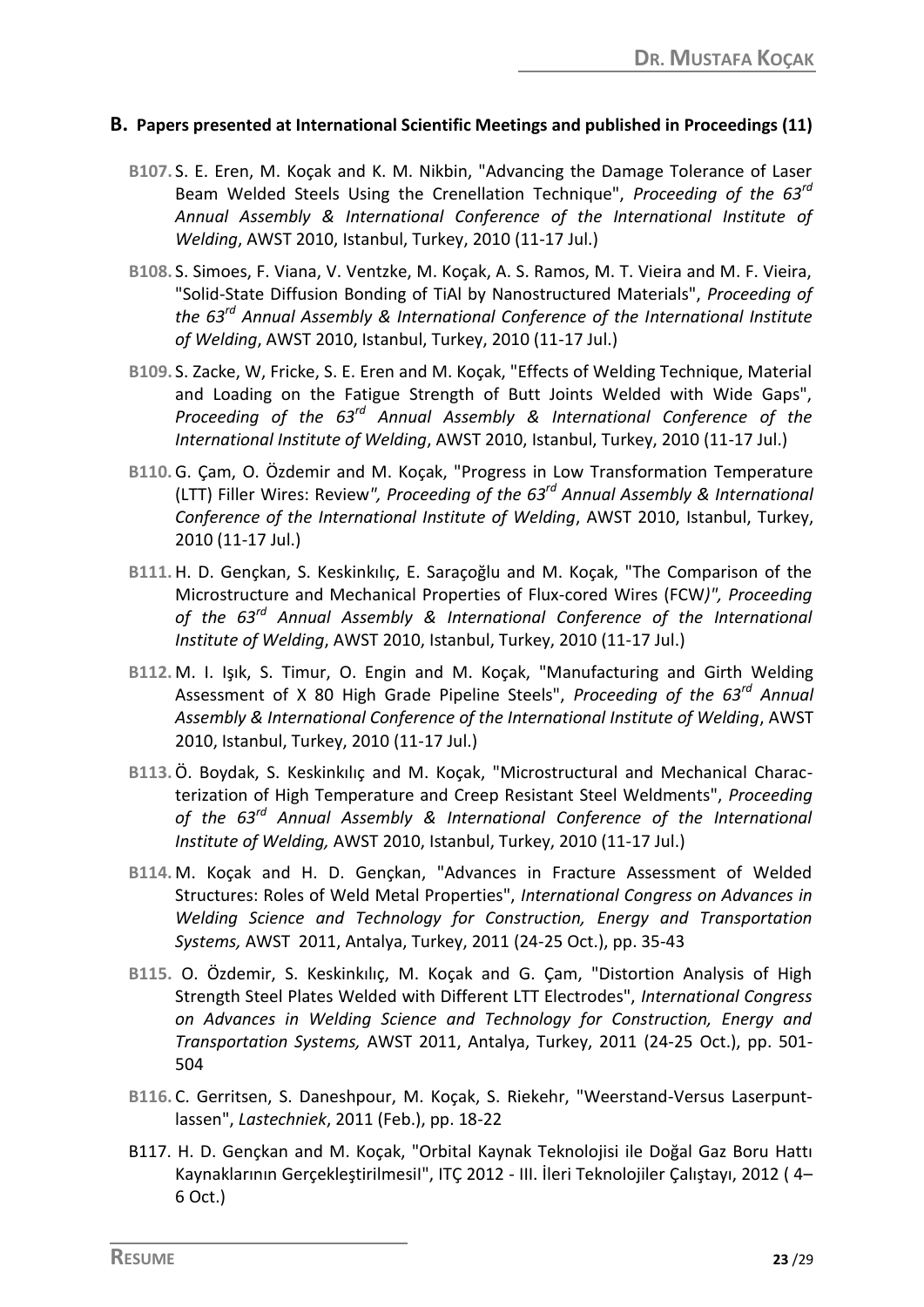#### **B. Papers presented at International Scientific Meetings and published in Proceedings (11)**

- **B107.** S. E. Eren, M. Koçak and K. M. Nikbin, "Advancing the Damage Tolerance of Laser Beam Welded Steels Using the Crenellation Technique", *Proceeding of the 63rd Annual Assembly & International Conference of the International Institute of Welding*, AWST 2010, Istanbul, Turkey, 2010 (11-17 Jul.)
- **B108.** S. Simoes, F. Viana, V. Ventzke, M. Koçak, A. S. Ramos, M. T. Vieira and M. F. Vieira, "Solid-State Diffusion Bonding of TiAl by Nanostructured Materials", *Proceeding of the 63rd Annual Assembly & International Conference of the International Institute of Welding*, AWST 2010, Istanbul, Turkey, 2010 (11-17 Jul.)
- **B109.** S. Zacke, W, Fricke, S. E. Eren and M. Koçak, "Effects of Welding Technique, Material and Loading on the Fatigue Strength of Butt Joints Welded with Wide Gaps", *Proceeding of the 63rd Annual Assembly & International Conference of the International Institute of Welding*, AWST 2010, Istanbul, Turkey, 2010 (11-17 Jul.)
- **B110.**G. Çam, O. Özdemir and M. Koçak, "Progress in Low Transformation Temperature (LTT) Filler Wires: Review*", Proceeding of the 63rd Annual Assembly & International Conference of the International Institute of Welding*, AWST 2010, Istanbul, Turkey, 2010 (11-17 Jul.)
- **B111.**H. D. Gençkan, S. Keskinkılıç, E. Saraçoğlu and M. Koçak, "The Comparison of the Microstructure and Mechanical Properties of Flux-cored Wires (FCW*)", Proceeding of the 63rd Annual Assembly & International Conference of the International Institute of Welding*, AWST 2010, Istanbul, Turkey, 2010 (11-17 Jul.)
- **B112.** M. I. Işık, S. Timur, O. Engin and M. Koçak, "Manufacturing and Girth Welding Assessment of X 80 High Grade Pipeline Steels", *Proceeding of the 63rd Annual Assembly & International Conference of the International Institute of Welding*, AWST 2010, Istanbul, Turkey, 2010 (11-17 Jul.)
- **B113.**Ö. Boydak, S. Keskinkılıç and M. Koçak, "Microstructural and Mechanical Characterization of High Temperature and Creep Resistant Steel Weldments", *Proceeding of the 63rd Annual Assembly & International Conference of the International Institute of Welding,* AWST 2010, Istanbul, Turkey, 2010 (11-17 Jul.)
- **B114.** M. Koçak and H. D. Gençkan, "Advances in Fracture Assessment of Welded Structures: Roles of Weld Metal Properties", *International Congress on Advances in Welding Science and Technology for Construction, Energy and Transportation Systems,* AWST 2011, Antalya, Turkey, 2011 (24-25 Oct.), pp. 35-43
- **B115.** O. Özdemir, S. Keskinkılıç, M. Koçak and G. Çam, "Distortion Analysis of High Strength Steel Plates Welded with Different LTT Electrodes", *International Congress on Advances in Welding Science and Technology for Construction, Energy and Transportation Systems,* AWST 2011, Antalya, Turkey, 2011 (24-25 Oct.), pp. 501- 504
- **B116.** C. Gerritsen, S. Daneshpour, M. Koçak, S. Riekehr, "Weerstand-Versus Laserpuntlassen", *Lastechniek*, 2011 (Feb.), pp. 18-22
- B117. H. D. Gençkan and M. Koçak, "Orbital Kaynak Teknolojisi ile Doğal Gaz Boru Hattı Kaynaklarının GerçekleştirilmesiI", ITÇ 2012 - III. İleri Teknolojiler Çalıştayı, 2012 ( 4– 6 Oct.)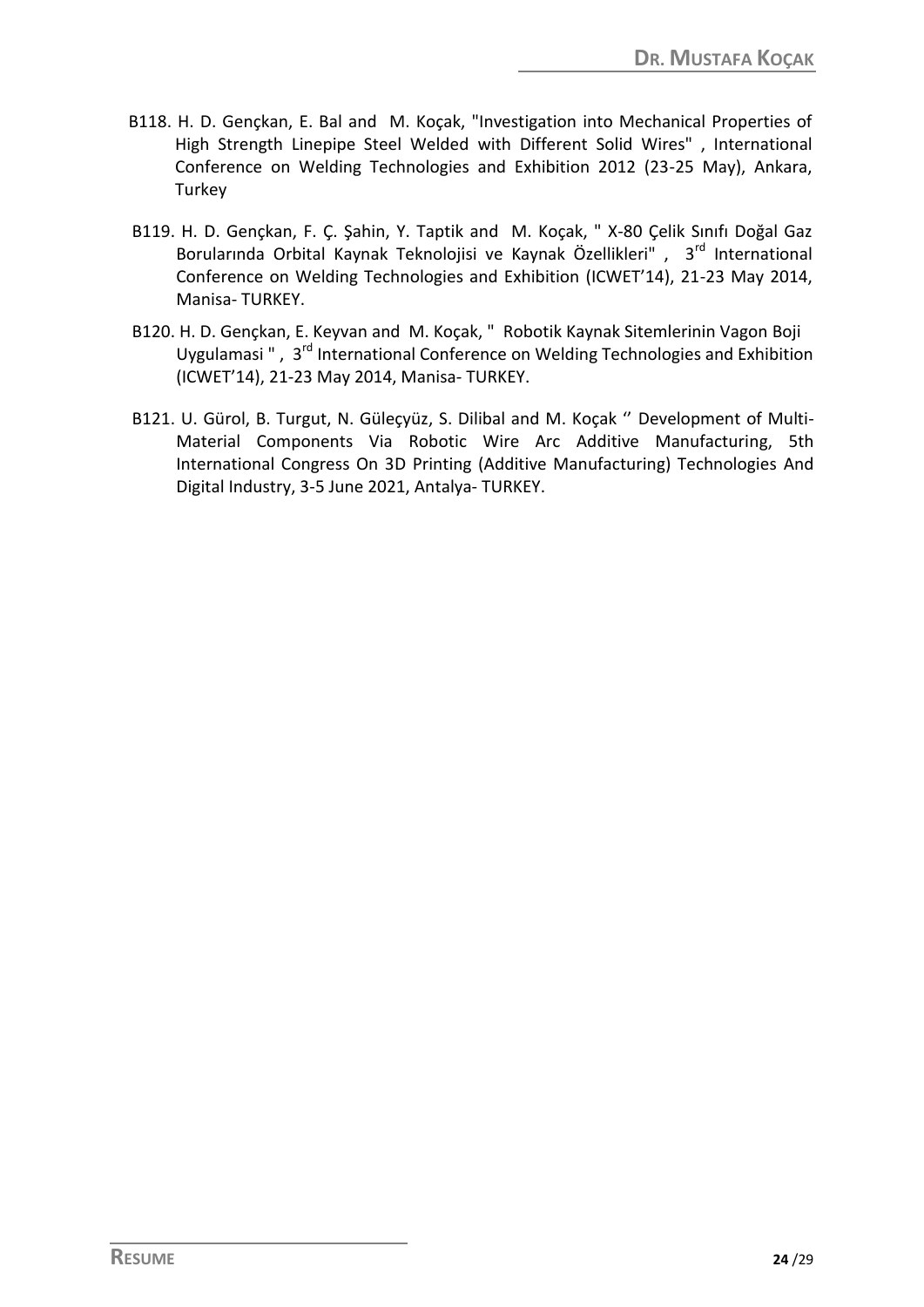- B118. H. D. Gençkan, E. Bal and M. Koçak, "Investigation into Mechanical Properties of High Strength Linepipe Steel Welded with Different Solid Wires" , International Conference on Welding Technologies and Exhibition 2012 (23-25 May), Ankara, Turkey
- B119. H. D. Gençkan, F. Ç. Şahin, Y. Taptik and M. Koçak, " X-80 Çelik Sınıfı Doğal Gaz Borularında Orbital Kaynak Teknolojisi ve Kaynak Özellikleri", 3<sup>rd</sup> International Conference on Welding Technologies and Exhibition (ICWET'14), 21-23 May 2014, Manisa- TURKEY.
- B120. H. D. Gençkan, E. Keyvan and M. Koçak, " Robotik Kaynak Sitemlerinin Vagon Boji Uygulamasi", 3<sup>rd</sup> International Conference on Welding Technologies and Exhibition (ICWET'14), 21-23 May 2014, Manisa- TURKEY.
- B121. U. Gürol, B. Turgut, N. Güleçyüz, S. Dilibal and M. Koçak '' Development of Multi-Material Components Via Robotic Wire Arc Additive Manufacturing, 5th International Congress On 3D Printing (Additive Manufacturing) Technologies And Digital Industry, 3-5 June 2021, Antalya- TURKEY.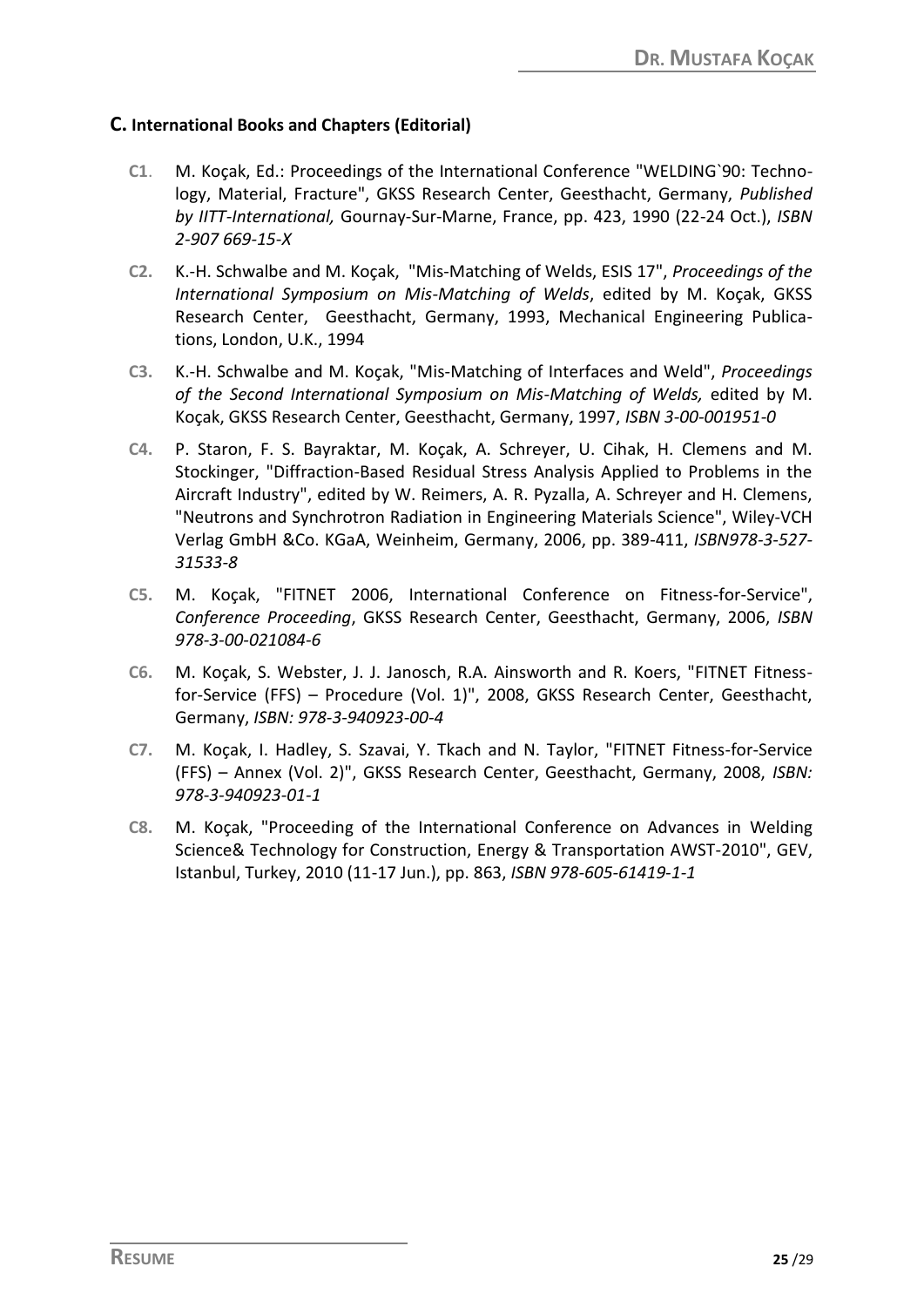### **C. International Books and Chapters (Editorial)**

- **C1**. M. Koçak, Ed.: Proceedings of the International Conference "WELDING`90: Technology, Material, Fracture", GKSS Research Center, Geesthacht, Germany, *Published by IITT-International,* Gournay-Sur-Marne, France, pp. 423, 1990 (22-24 Oct.), *ISBN 2-907 669-15-X*
- **C2.** K.-H. Schwalbe and M. Koçak, "Mis-Matching of Welds, ESIS 17", *Proceedings of the International Symposium on Mis-Matching of Welds*, edited by M. Koçak, GKSS Research Center, Geesthacht, Germany, 1993, Mechanical Engineering Publications, London, U.K., 1994
- **C3.** K.-H. Schwalbe and M. Koçak, "Mis-Matching of Interfaces and Weld", *Proceedings of the Second International Symposium on Mis-Matching of Welds,* edited by M. Koçak, GKSS Research Center, Geesthacht, Germany, 1997, *ISBN 3-00-001951-0*
- **C4.** P. Staron, F. S. Bayraktar, M. Koçak, A. Schreyer, U. Cihak, H. Clemens and M. Stockinger, "Diffraction-Based Residual Stress Analysis Applied to Problems in the Aircraft Industry", edited by W. Reimers, A. R. Pyzalla, A. Schreyer and H. Clemens, "Neutrons and Synchrotron Radiation in Engineering Materials Science", Wiley-VCH Verlag GmbH &Co. KGaA, Weinheim, Germany, 2006, pp. 389-411, *ISBN978-3-527- 31533-8*
- **C5.** M. Koçak, "FITNET 2006, International Conference on Fitness-for-Service", *Conference Proceeding*, GKSS Research Center, Geesthacht, Germany, 2006, *ISBN 978-3-00-021084-6*
- **C6.** M. Koçak, S. Webster, J. J. Janosch, R.A. Ainsworth and R. Koers, "FITNET Fitnessfor-Service (FFS) – Procedure (Vol. 1)", 2008, GKSS Research Center, Geesthacht, Germany, *ISBN: 978-3-940923-00-4*
- **C7.** M. Koçak, I. Hadley, S. Szavai, Y. Tkach and N. Taylor, "FITNET Fitness-for-Service (FFS) – Annex (Vol. 2)", GKSS Research Center, Geesthacht, Germany, 2008, *ISBN: 978-3-940923-01-1*
- **C8.** M. Koçak, "Proceeding of the International Conference on Advances in Welding Science& Technology for Construction, Energy & Transportation AWST-2010", GEV, Istanbul, Turkey, 2010 (11-17 Jun.), pp. 863, *ISBN 978-605-61419-1-1*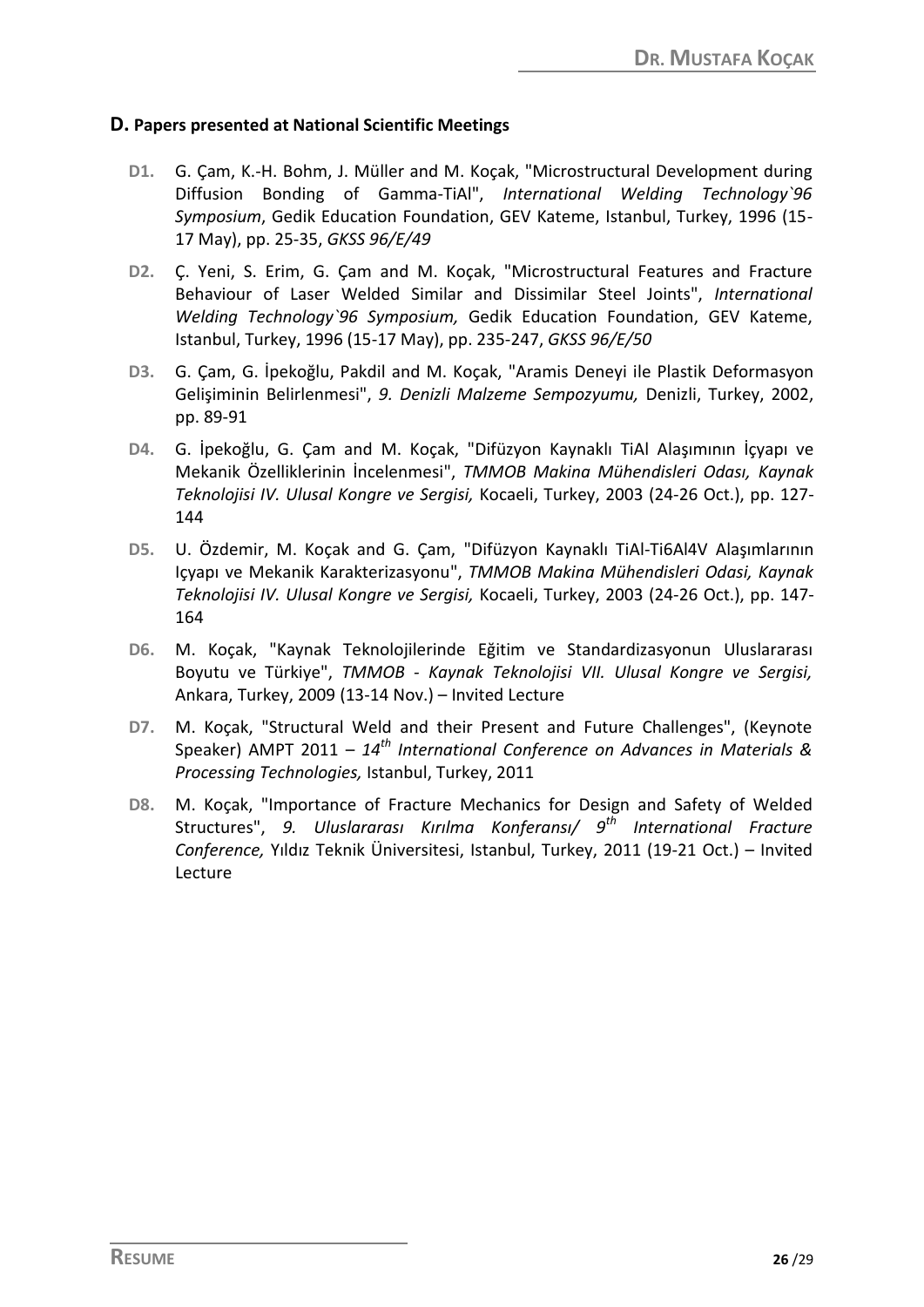#### **D. Papers presented at National Scientific Meetings**

- **D1.** G. Çam, K.-H. Bohm, J. Müller and M. Koçak, "Microstructural Development during Diffusion Bonding of Gamma-TiAl", *International Welding Technology`96 Symposium*, Gedik Education Foundation, GEV Kateme, Istanbul, Turkey, 1996 (15- 17 May), pp. 25-35, *GKSS 96/E/49*
- **D2.** Ç. Yeni, S. Erim, G. Çam and M. Koçak, "Microstructural Features and Fracture Behaviour of Laser Welded Similar and Dissimilar Steel Joints", *International Welding Technology`96 Symposium,* Gedik Education Foundation, GEV Kateme, Istanbul, Turkey, 1996 (15-17 May), pp. 235-247, *GKSS 96/E/50*
- **D3.** G. Çam, G. İpekoğlu, Pakdil and M. Koçak, "Aramis Deneyi ile Plastik Deformasyon Gelişiminin Belirlenmesi", *9. Denizli Malzeme Sempozyumu,* Denizli, Turkey, 2002, pp. 89-91
- **D4.** G. İpekoğlu, G. Çam and M. Koçak, "Difüzyon Kaynaklı TiAl Alaşımının İçyapı ve Mekanik Özelliklerinin İncelenmesi", *TMMOB Makina Mühendisleri Odası, Kaynak Teknolojisi IV. Ulusal Kongre ve Sergisi,* Kocaeli, Turkey, 2003 (24-26 Oct.), pp. 127- 144
- **D5.** U. Özdemir, M. Koçak and G. Çam, "Difüzyon Kaynaklı TiAl-Ti6Al4V Alaşımlarının Içyapı ve Mekanik Karakterizasyonu", *TMMOB Makina Mühendisleri Odasi, Kaynak Teknolojisi IV. Ulusal Kongre ve Sergisi,* Kocaeli, Turkey, 2003 (24-26 Oct.), pp. 147- 164
- **D6.** M. Koçak, "Kaynak Teknolojilerinde Eğitim ve Standardizasyonun Uluslararası Boyutu ve Türkiye", *TMMOB - Kaynak Teknolojisi VII. Ulusal Kongre ve Sergisi,* Ankara, Turkey, 2009 (13-14 Nov.) – Invited Lecture
- **D7.** M. Koçak, "Structural Weld and their Present and Future Challenges", (Keynote Speaker) AMPT 2011 – *14th International Conference on Advances in Materials & Processing Technologies,* Istanbul, Turkey, 2011
- **D8.** M. Koçak, "Importance of Fracture Mechanics for Design and Safety of Welded Structures", *9. Uluslararası Kırılma Konferansı/ 9th International Fracture Conference,* Yıldız Teknik Üniversitesi, Istanbul, Turkey, 2011 (19-21 Oct.) – Invited Lecture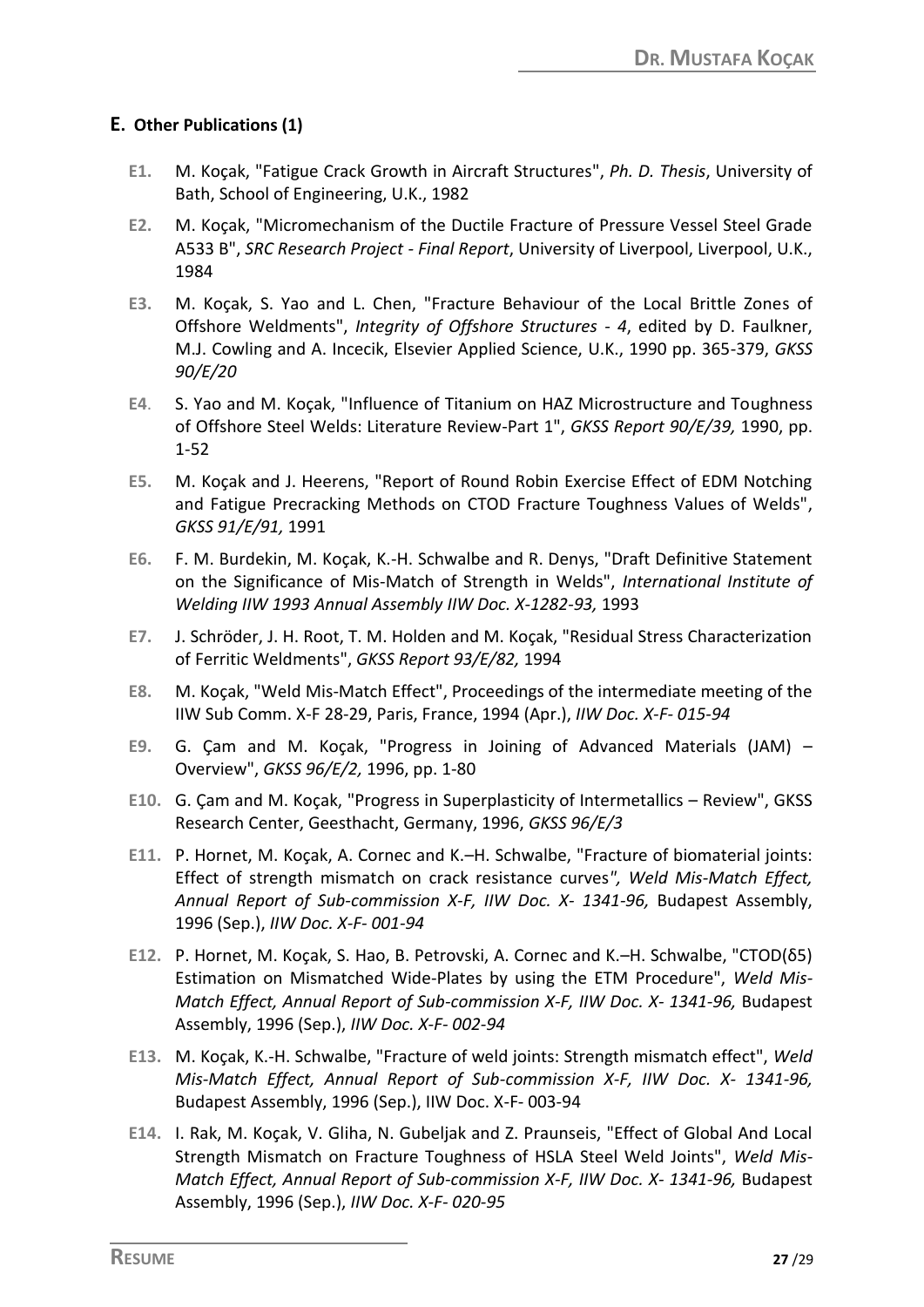### **E. Other Publications (1)**

- **E1.** M. Koçak, "Fatigue Crack Growth in Aircraft Structures", *Ph. D. Thesis*, University of Bath, School of Engineering, U.K., 1982
- **E2.** M. Koçak, "Micromechanism of the Ductile Fracture of Pressure Vessel Steel Grade A533 B", *SRC Research Project - Final Report*, University of Liverpool, Liverpool, U.K., 1984
- **E3.** M. Koçak, S. Yao and L. Chen, "Fracture Behaviour of the Local Brittle Zones of Offshore Weldments", *Integrity of Offshore Structures - 4*, edited by D. Faulkner, M.J. Cowling and A. Incecik, Elsevier Applied Science, U.K., 1990 pp. 365-379, *GKSS 90/E/20*
- **E4**. S. Yao and M. Koçak, "Influence of Titanium on HAZ Microstructure and Toughness of Offshore Steel Welds: Literature Review-Part 1", *GKSS Report 90/E/39,* 1990, pp. 1-52
- **E5.** M. Koçak and J. Heerens, "Report of Round Robin Exercise Effect of EDM Notching and Fatigue Precracking Methods on CTOD Fracture Toughness Values of Welds", *GKSS 91/E/91,* 1991
- **E6.** F. M. Burdekin, M. Koçak, K.-H. Schwalbe and R. Denys, "Draft Definitive Statement on the Significance of Mis-Match of Strength in Welds", *International Institute of Welding IIW 1993 Annual Assembly IIW Doc. X-1282-93,* 1993
- **E7.** J. Schröder, J. H. Root, T. M. Holden and M. Koçak, "Residual Stress Characterization of Ferritic Weldments", *GKSS Report 93/E/82,* 1994
- **E8.** M. Koçak, "Weld Mis-Match Effect", Proceedings of the intermediate meeting of the IIW Sub Comm. X-F 28-29, Paris, France, 1994 (Apr.), *IIW Doc. X-F- 015-94*
- **E9.** G. Çam and M. Koçak, "Progress in Joining of Advanced Materials (JAM) Overview", *GKSS 96/E/2,* 1996, pp. 1-80
- **E10.** G. Çam and M. Koçak, "Progress in Superplasticity of Intermetallics Review", GKSS Research Center, Geesthacht, Germany, 1996, *GKSS 96/E/3*
- **E11.** P. Hornet, M. Koçak, A. Cornec and K.–H. Schwalbe, "Fracture of biomaterial joints: Effect of strength mismatch on crack resistance curves*", Weld Mis-Match Effect, Annual Report of Sub-commission X-F, IIW Doc. X- 1341-96,* Budapest Assembly, 1996 (Sep.), *IIW Doc. X-F- 001-94*
- **E12.** P. Hornet, M. Koçak, S. Hao, B. Petrovski, A. Cornec and K.–H. Schwalbe, "CTOD(δ5) Estimation on Mismatched Wide-Plates by using the ETM Procedure", *Weld Mis-Match Effect, Annual Report of Sub-commission X-F, IIW Doc. X- 1341-96,* Budapest Assembly, 1996 (Sep.), *IIW Doc. X-F- 002-94*
- **E13.** M. Koçak, K.-H. Schwalbe, "Fracture of weld joints: Strength mismatch effect", *Weld Mis-Match Effect, Annual Report of Sub-commission X-F, IIW Doc. X- 1341-96,* Budapest Assembly, 1996 (Sep.), IIW Doc. X-F- 003-94
- **E14.** I. Rak, M. Koçak, V. Gliha, N. Gubeljak and Z. Praunseis, "Effect of Global And Local Strength Mismatch on Fracture Toughness of HSLA Steel Weld Joints", *Weld Mis-Match Effect, Annual Report of Sub-commission X-F, IIW Doc. X- 1341-96,* Budapest Assembly, 1996 (Sep.), *IIW Doc. X-F- 020-95*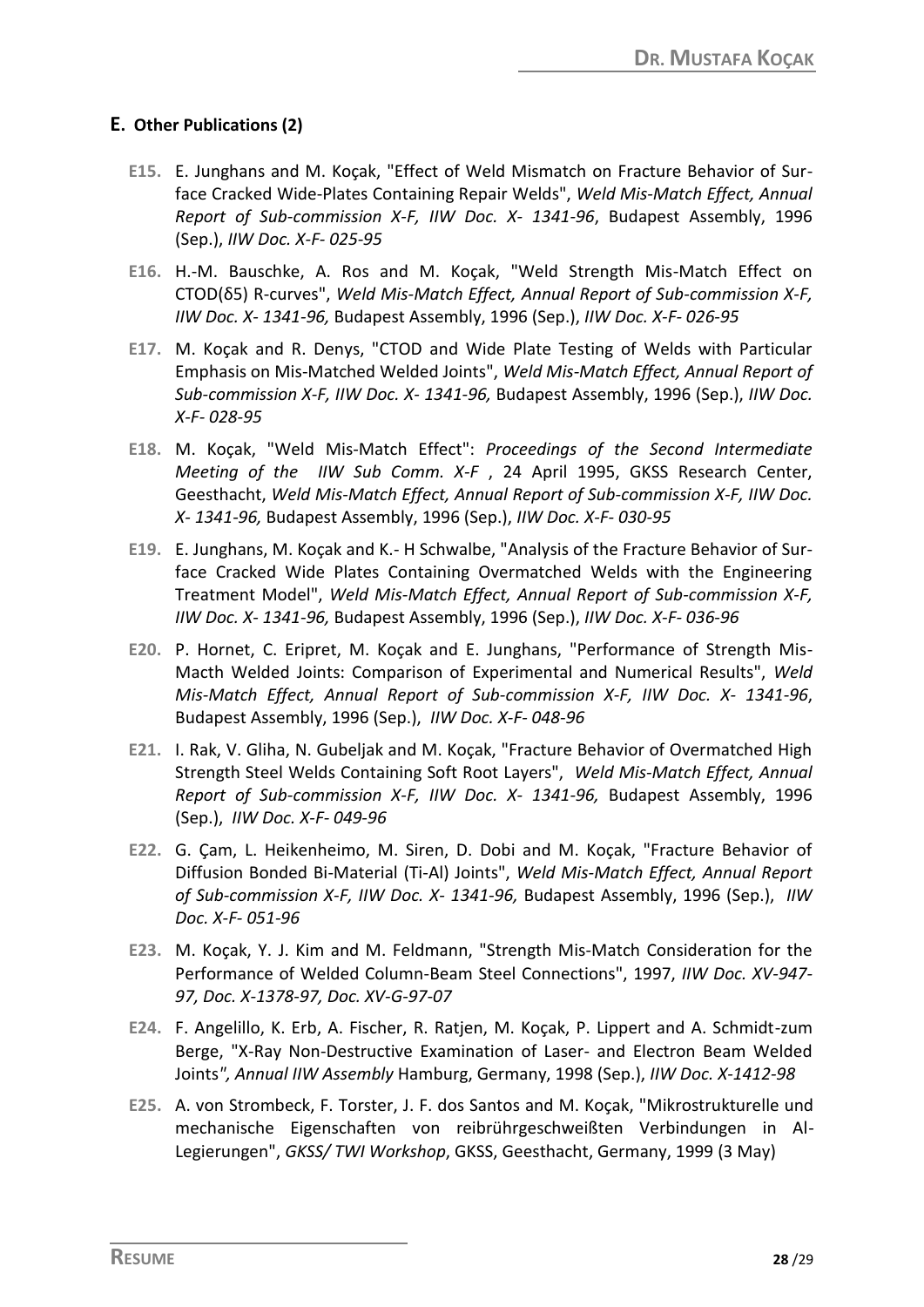### **E. Other Publications (2)**

- **E15.** E. Junghans and M. Koçak, "Effect of Weld Mismatch on Fracture Behavior of Surface Cracked Wide-Plates Containing Repair Welds", *Weld Mis-Match Effect, Annual Report of Sub-commission X-F, IIW Doc. X- 1341-96*, Budapest Assembly, 1996 (Sep.), *IIW Doc. X-F- 025-95*
- **E16.** H.-M. Bauschke, A. Ros and M. Koçak, "Weld Strength Mis-Match Effect on CTOD(δ5) R-curves", *Weld Mis-Match Effect, Annual Report of Sub-commission X-F, IIW Doc. X- 1341-96,* Budapest Assembly, 1996 (Sep.), *IIW Doc. X-F- 026-95*
- **E17.** M. Koçak and R. Denys, "CTOD and Wide Plate Testing of Welds with Particular Emphasis on Mis-Matched Welded Joints", *Weld Mis-Match Effect, Annual Report of Sub-commission X-F, IIW Doc. X- 1341-96,* Budapest Assembly, 1996 (Sep.), *IIW Doc. X-F- 028-95*
- **E18.** M. Koçak, "Weld Mis-Match Effect": *Proceedings of the Second Intermediate Meeting of the IIW Sub Comm. X-F* , 24 April 1995, GKSS Research Center, Geesthacht, *Weld Mis-Match Effect, Annual Report of Sub-commission X-F, IIW Doc. X- 1341-96,* Budapest Assembly, 1996 (Sep.), *IIW Doc. X-F- 030-95*
- **E19.** E. Junghans, M. Koçak and K.- H Schwalbe, "Analysis of the Fracture Behavior of Surface Cracked Wide Plates Containing Overmatched Welds with the Engineering Treatment Model", *Weld Mis-Match Effect, Annual Report of Sub-commission X-F, IIW Doc. X- 1341-96,* Budapest Assembly, 1996 (Sep.), *IIW Doc. X-F- 036-96*
- **E20.** P. Hornet, C. Eripret, M. Koçak and E. Junghans, "Performance of Strength Mis-Macth Welded Joints: Comparison of Experimental and Numerical Results", *Weld Mis-Match Effect, Annual Report of Sub-commission X-F, IIW Doc. X- 1341-96*, Budapest Assembly, 1996 (Sep.), *IIW Doc. X-F- 048-96*
- **E21.** I. Rak, V. Gliha, N. Gubeljak and M. Koçak, "Fracture Behavior of Overmatched High Strength Steel Welds Containing Soft Root Layers", *Weld Mis-Match Effect, Annual Report of Sub-commission X-F, IIW Doc. X- 1341-96,* Budapest Assembly, 1996 (Sep.), *IIW Doc. X-F- 049-96*
- **E22.** G. Çam, L. Heikenheimo, M. Siren, D. Dobi and M. Koçak, "Fracture Behavior of Diffusion Bonded Bi-Material (Ti-Al) Joints", *Weld Mis-Match Effect, Annual Report of Sub-commission X-F, IIW Doc. X- 1341-96,* Budapest Assembly, 1996 (Sep.), *IIW Doc. X-F- 051-96*
- **E23.** M. Koçak, Y. J. Kim and M. Feldmann, "Strength Mis-Match Consideration for the Performance of Welded Column-Beam Steel Connections", 1997, *IIW Doc. XV-947- 97, Doc. X-1378-97, Doc. XV-G-97-07*
- **E24.** F. Angelillo, K. Erb, A. Fischer, R. Ratjen, M. Koçak, P. Lippert and A. Schmidt-zum Berge, "X-Ray Non-Destructive Examination of Laser- and Electron Beam Welded Joints*", Annual IIW Assembly* Hamburg, Germany, 1998 (Sep.), *IIW Doc. X-1412-98*
- **E25.** A. von Strombeck, F. Torster, J. F. dos Santos and M. Koçak, "Mikrostrukturelle und mechanische Eigenschaften von reibrührgeschweißten Verbindungen in Al-Legierungen", *GKSS/ TWI Workshop*, GKSS, Geesthacht, Germany, 1999 (3 May)